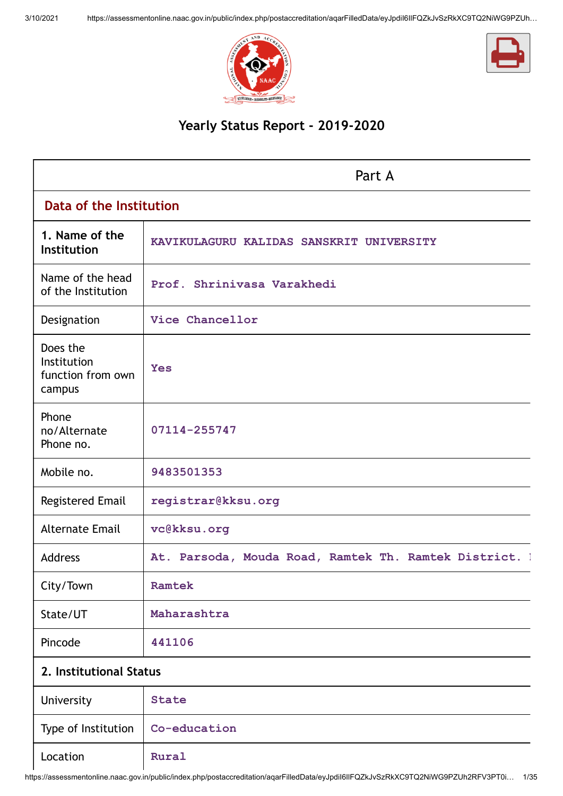



# **Yearly Status Report - 2019-2020**

|                                                               | Part A                                                 |
|---------------------------------------------------------------|--------------------------------------------------------|
| Data of the Institution                                       |                                                        |
| 1. Name of the<br>Institution                                 | KAVIKULAGURU KALIDAS SANSKRIT UNIVERSITY               |
| Name of the head<br>of the Institution                        | Prof. Shrinivasa Varakhedi                             |
| Designation                                                   | Vice Chancellor                                        |
| Does the<br><b>Institution</b><br>function from own<br>campus | <b>Yes</b>                                             |
| Phone<br>no/Alternate<br>Phone no.                            | 07114-255747                                           |
| Mobile no.                                                    | 9483501353                                             |
| <b>Registered Email</b>                                       | registrar@kksu.org                                     |
| <b>Alternate Email</b>                                        | vc@kksu.org                                            |
| <b>Address</b>                                                | At. Parsoda, Mouda Road, Ramtek Th. Ramtek District. 1 |
| City/Town                                                     | Ramtek                                                 |
| State/UT                                                      | Maharashtra                                            |
| Pincode                                                       | 441106                                                 |
| 2. Institutional Status                                       |                                                        |
| University                                                    | <b>State</b>                                           |
| Type of Institution                                           | Co-education                                           |
| Location                                                      | Rural                                                  |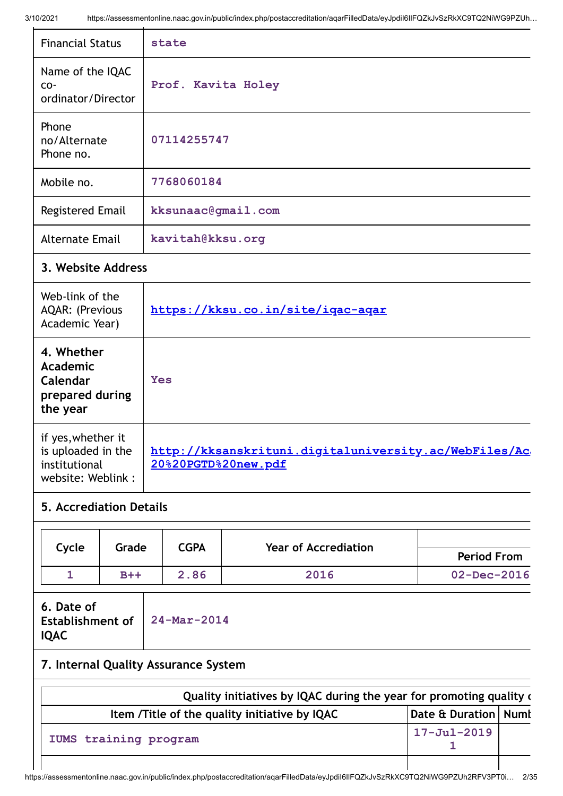| 10/2021                                                                        | https://assessmentonline.naac.gov.in/public/index.php/postaccreditation/aqarFilledData/eyJpdil6llFQZKJvSzRkXC9TQ2NiWG9PZUh… |
|--------------------------------------------------------------------------------|-----------------------------------------------------------------------------------------------------------------------------|
| <b>Financial Status</b>                                                        | state                                                                                                                       |
| Name of the IQAC<br>CO-<br>ordinator/Director                                  | Prof. Kavita Holey                                                                                                          |
| Phone<br>no/Alternate<br>Phone no.                                             | 07114255747                                                                                                                 |
| Mobile no.                                                                     | 7768060184                                                                                                                  |
| <b>Registered Email</b>                                                        | kksunaac@gmail.com                                                                                                          |
| <b>Alternate Email</b>                                                         | kavitah@kksu.org                                                                                                            |
| 3. Website Address                                                             |                                                                                                                             |
| Web-link of the<br><b>AQAR: (Previous</b><br>Academic Year)                    | https://kksu.co.in/site/igac-agar                                                                                           |
| 4. Whether<br>Academic<br>Calendar<br>prepared during<br>the year              | <b>Yes</b>                                                                                                                  |
| if yes, whether it<br>is uploaded in the<br>institutional<br>website: Weblink: | http://kksanskrituni.digitaluniversity.ac/WebFiles/Ac<br>20%20PGTD%20new.pdf                                                |

# **5. Accrediation Details**

|       | Grade | CGPA |                             |                    |
|-------|-------|------|-----------------------------|--------------------|
| Cycle |       |      | <b>Year of Accrediation</b> | <b>Period From</b> |
|       | $B++$ | 2.86 | 2016                        | $02 - Dec - 2016$  |

| 6. Date of                   |  |
|------------------------------|--|
| Establishment of 24-Mar-2014 |  |
| <b>IQAC</b>                  |  |

# **7. Internal Quality Assurance System**

| Quality initiatives by IQAC during the year for promoting quality of |                        |  |  |
|----------------------------------------------------------------------|------------------------|--|--|
| Item / Title of the quality initiative by IQAC                       | Date & Duration   Numl |  |  |
| IUMS training program                                                | $17 - Jul - 2019$      |  |  |
|                                                                      |                        |  |  |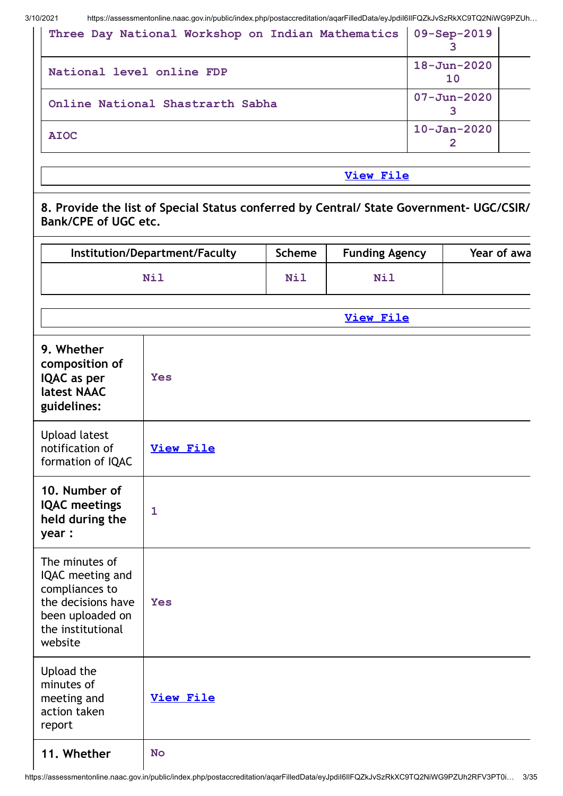| Three Day National Workshop on Indian Mathematics   09-Sep-2019 |                         |  |
|-----------------------------------------------------------------|-------------------------|--|
| National level online FDP                                       | $18 - Jun - 2020$<br>10 |  |
| Online National Shastrarth Sabha                                | $07 - Jun - 2020$       |  |
| <b>AIOC</b>                                                     | $10 - Jan - 2020$       |  |

# **View [File](https://assessmentonline.naac.gov.in/public/Postacc/Quality_Initiatives/9020_Quality_Initiatives.xlsx)**

**8. Provide the list of Special Status conferred by Central/ State Government- UGC/CSIR/ Bank/CPE of UGC etc.**

|                                                                                                                                | Institution/Department/Faculty | <b>Scheme</b> | <b>Funding Agency</b> | Year of awa |
|--------------------------------------------------------------------------------------------------------------------------------|--------------------------------|---------------|-----------------------|-------------|
|                                                                                                                                | Nil                            | <b>Nil</b>    | Nil                   |             |
|                                                                                                                                |                                |               | <b>View File</b>      |             |
| 9. Whether<br>composition of<br>IQAC as per<br>latest NAAC<br>guidelines:                                                      | <b>Yes</b>                     |               |                       |             |
| <b>Upload latest</b><br>notification of<br>formation of IQAC                                                                   | <b>View File</b>               |               |                       |             |
| 10. Number of<br><b>IQAC</b> meetings<br>held during the<br>year :                                                             | $\mathbf{1}$                   |               |                       |             |
| The minutes of<br>IQAC meeting and<br>compliances to<br>the decisions have<br>been uploaded on<br>the institutional<br>website | Yes                            |               |                       |             |
| Upload the<br>minutes of<br>meeting and<br>action taken<br>report                                                              | <b>View File</b>               |               |                       |             |
| 11. Whether                                                                                                                    | <b>No</b>                      |               |                       |             |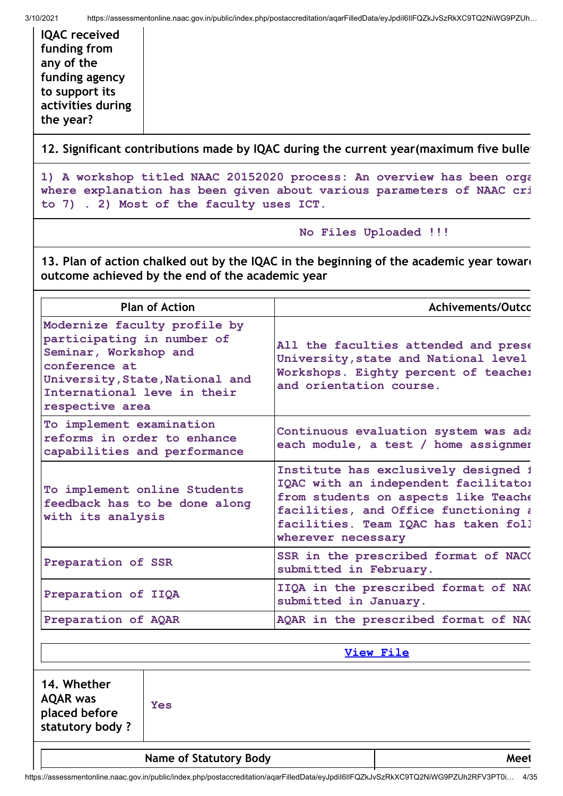**IQAC received funding from any of the funding agency to support its activities during the year?**

**12. Significant contributions made by IQAC during the current year(maximum five bullet**

**1) A workshop titled NAAC 20152020 process: An overview has been orga where explanation has been given about various parameters of NAAC cri to 7) . 2) Most of the faculty uses ICT.**

**No Files Uploaded !!!**

**13. Plan of action chalked out by the IQAC in the beginning of the academic year toward outcome achieved by the end of the academic year**

| <b>Plan of Action</b>                                                                                                                                                                     | Achivements/Outco                                                                                                                                                                                                          |  |
|-------------------------------------------------------------------------------------------------------------------------------------------------------------------------------------------|----------------------------------------------------------------------------------------------------------------------------------------------------------------------------------------------------------------------------|--|
| Modernize faculty profile by<br>participating in number of<br>Seminar, Workshop and<br>conference at<br>University, State, National and<br>International leve in their<br>respective area | All the faculties attended and prese<br>University, state and National level<br>Workshops. Eighty percent of teacher<br>and orientation course.                                                                            |  |
| To implement examination<br>reforms in order to enhance<br>capabilities and performance                                                                                                   | Continuous evaluation system was ada<br>each module, a test / home assignmer                                                                                                                                               |  |
| To implement online Students<br>feedback has to be done along<br>with its analysis                                                                                                        | Institute has exclusively designed i<br>IQAC with an independent facilitato:<br>from students on aspects like Teache<br>facilities, and Office functioning a<br>facilities. Team IQAC has taken foll<br>wherever necessary |  |
| Preparation of SSR                                                                                                                                                                        | SSR in the prescribed format of NAC(<br>submitted in February.                                                                                                                                                             |  |
| Preparation of IIQA                                                                                                                                                                       | IIQA in the prescribed format of NA(<br>submitted in January.                                                                                                                                                              |  |
| Preparation of AQAR                                                                                                                                                                       | AQAR in the prescribed format of NA(                                                                                                                                                                                       |  |
|                                                                                                                                                                                           | <b>View File</b>                                                                                                                                                                                                           |  |
| 14. Whether<br><b>AQAR was</b><br><b>Yes</b><br>placed before<br>statutory body?                                                                                                          |                                                                                                                                                                                                                            |  |

**Name of Statutory Body Meet**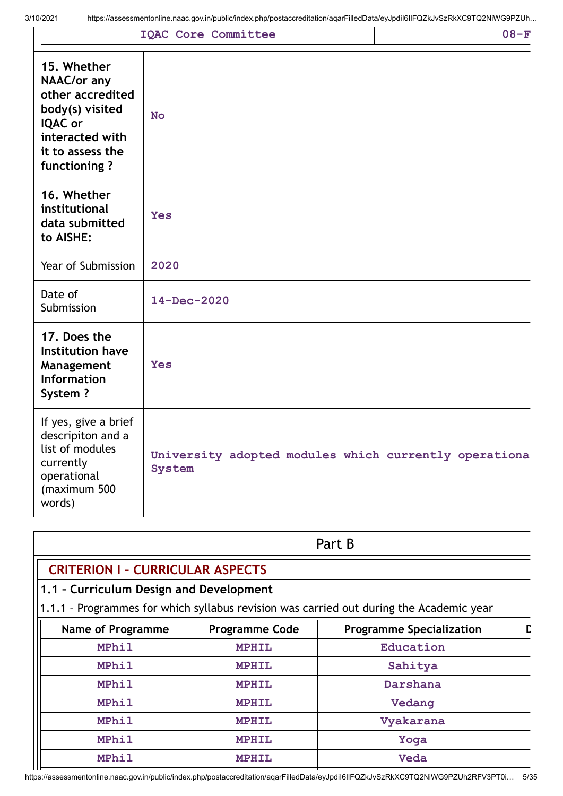words)

|                                                                                                                                                   | <b>IQAC Core Committee</b>                                             | $08-F$ |
|---------------------------------------------------------------------------------------------------------------------------------------------------|------------------------------------------------------------------------|--------|
| 15. Whether<br><b>NAAC/or any</b><br>other accredited<br>body(s) visited<br><b>IQAC or</b><br>interacted with<br>it to assess the<br>functioning? | <b>No</b>                                                              |        |
| 16. Whether<br>institutional<br>data submitted<br>to AISHE:                                                                                       | Yes                                                                    |        |
| Year of Submission                                                                                                                                | 2020                                                                   |        |
| Date of<br>Submission                                                                                                                             | $14 - Dec - 2020$                                                      |        |
| 17. Does the<br><b>Institution have</b><br>Management<br><b>Information</b><br>System?                                                            | <b>Yes</b>                                                             |        |
| If yes, give a brief<br>descripiton and a<br>list of modules<br>currently<br>operational<br>(maximum 500                                          | University adopted modules which currently operationa<br><b>System</b> |        |

|                                         | Part B                |                                                                                         |  |  |  |  |
|-----------------------------------------|-----------------------|-----------------------------------------------------------------------------------------|--|--|--|--|
| <b>CRITERION I - CURRICULAR ASPECTS</b> |                       |                                                                                         |  |  |  |  |
| 1.1 - Curriculum Design and Development |                       |                                                                                         |  |  |  |  |
|                                         |                       | 1.1.1 - Programmes for which syllabus revision was carried out during the Academic year |  |  |  |  |
| <b>Name of Programme</b>                | <b>Programme Code</b> | <b>Programme Specialization</b>                                                         |  |  |  |  |
| <b>MPhil</b>                            | <b>MPHIL</b>          | Education                                                                               |  |  |  |  |
| <b>MPhil</b>                            | <b>MPHIL</b>          | Sahitya                                                                                 |  |  |  |  |
| <b>MPhil</b>                            | <b>MPHIL</b>          | Darshana                                                                                |  |  |  |  |
| <b>MPhil</b>                            | <b>MPHIL</b>          | Vedang                                                                                  |  |  |  |  |
| <b>MPhil</b>                            | <b>MPHIL</b>          | Vyakarana                                                                               |  |  |  |  |
| <b>MPhil</b>                            | <b>MPHIL</b>          | Yoga                                                                                    |  |  |  |  |
| <b>MPhil</b>                            | <b>MPHIL</b>          | Veda                                                                                    |  |  |  |  |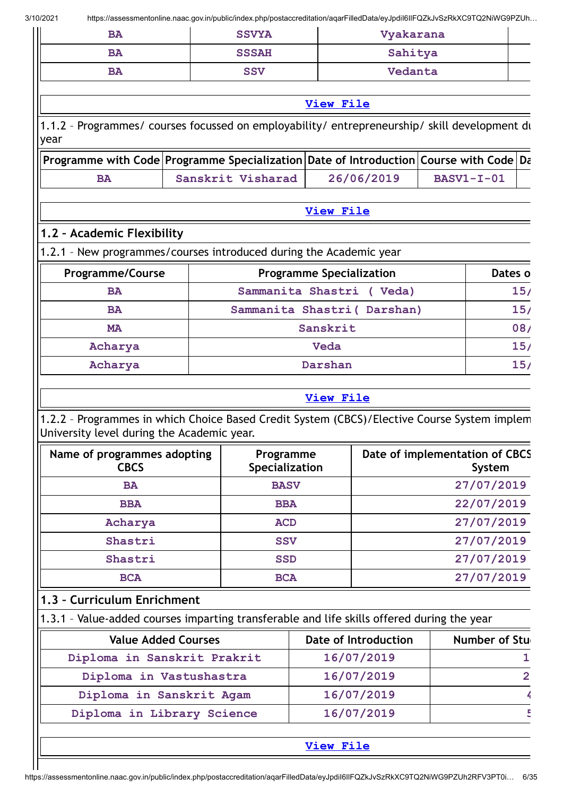| BA        | <b>SSVYA</b> | Vyakarana |  |
|-----------|--------------|-----------|--|
| <b>BA</b> | <b>SSSAH</b> | Sahitya   |  |
| <b>BA</b> | <b>SSV</b>   | Vedanta   |  |

# **[View](https://assessmentonline.naac.gov.in/public/Postacc/Syllabus_revision/9020_Syllabus_revision_1612420124.xlsx) File**

**[View](https://assessmentonline.naac.gov.in/public/Postacc/programmes_on_employability/9020_programmes_on_employability_1613972697.xlsx) File**

1.1.2 – Programmes/ courses focussed on employability/ entrepreneurship/ skill development du year

|    | $\parallel$ Programme with Code Programme Specialization Date of Introduction Course with Code Da |            |              |  |
|----|---------------------------------------------------------------------------------------------------|------------|--------------|--|
| BA | Sanskrit Visharad                                                                                 | 26/06/2019 | $BASVI-I-01$ |  |

# **1.2 – Academic Flexibility**

1.2.1 – New programmes/courses introduced during the Academic year

| <b>Programme/Course</b> | <b>Programme Specialization</b> | Dates o |
|-------------------------|---------------------------------|---------|
| <b>BA</b>               | Sammanita Shastri ( Veda)       | 15/     |
| <b>BA</b>               | Sammanita Shastri ( Darshan)    | 15/     |
| <b>MA</b>               | Sanskrit                        | 08/     |
| Acharya                 | Veda                            | 15/     |
| Acharya                 | Darshan                         | 15/     |

## **[View](https://assessmentonline.naac.gov.in/public/Postacc/Program_introduced/9020_Program_introduced_1614146417.xlsx) File**

1.2.2 – Programmes in which Choice Based Credit System (CBCS)/Elective Course System implem University level during the Academic year.

| Name of programmes adopting<br><b>CBCS</b> | Programme<br>Specialization | Date of implementation of CBCS<br>System |
|--------------------------------------------|-----------------------------|------------------------------------------|
| <b>BA</b>                                  | <b>BASV</b>                 | 27/07/2019                               |
| <b>BBA</b>                                 | <b>BBA</b>                  | 22/07/2019                               |
| Acharya                                    | <b>ACD</b>                  | 27/07/2019                               |
| Shastri                                    | <b>SSV</b>                  | 27/07/2019                               |
| Shastri                                    | <b>SSD</b>                  | 27/07/2019                               |
| <b>BCA</b>                                 | <b>BCA</b>                  | 27/07/2019                               |

# **1.3 – Curriculum Enrichment**

1.3.1 – Value-added courses imparting transferable and life skills offered during the year

| <b>Value Added Courses</b>  | Date of Introduction | Number of Stu |
|-----------------------------|----------------------|---------------|
| Diploma in Sanskrit Prakrit | 16/07/2019           |               |
| Diploma in Vastushastra     | 16/07/2019           |               |
| Diploma in Sanskrit Agam    | 16/07/2019           |               |
| Diploma in Library Science  | 16/07/2019           |               |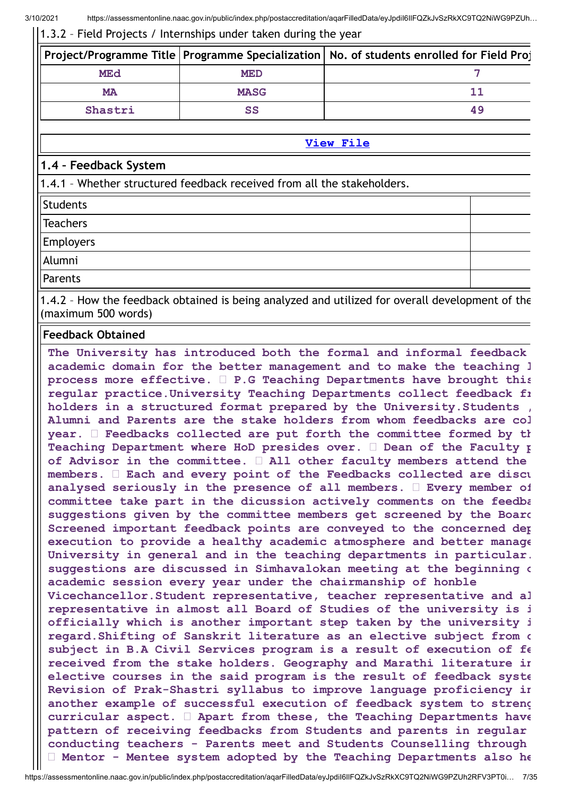1.3.2 – Field Projects / Internships under taken during the year

|           |             | Project/Programme Title   Programme Specialization   No. of students enrolled for Field Proj |
|-----------|-------------|----------------------------------------------------------------------------------------------|
| MEd       | <b>MED</b>  |                                                                                              |
| <b>MA</b> | <b>MASG</b> |                                                                                              |
| Shastri   | SS          | 49                                                                                           |

**[View](https://assessmentonline.naac.gov.in/public/Postacc/Projects_undertaken/9020_Projects_undertaken_1612423705.xlsx) File**

# **1.4 – Feedback System**

1.4.1 – Whether structured feedback received from all the stakeholders.

**Students** 

**Teachers** 

Employers

Alumni

Parents

1.4.2 – How the feedback obtained is being analyzed and utilized for overall development of the (maximum 500 words)

## **Feedback Obtained**

**The University has introduced both the formal and informal feedback academic domain for the better management and to make the teaching l process more effective. P.G Teaching Departments have brought this regular practice.University Teaching Departments collect feedback fr holders in a structured format prepared by the University.Students , Alumni and Parents are the stake holders from whom feedbacks are col year. Feedbacks collected are put forth the committee formed by th Teaching Department where HoD presides over. Dean of the Faculty p of Advisor in the committee. All other faculty members attend the members. Each and every point of the Feedbacks collected are discu analysed seriously in the presence of all members. Every member of committee take part in the dicussion actively comments on the feedba suggestions given by the committee members get screened by the Board Screened important feedback points are conveyed to the concerned dep execution to provide a healthy academic atmosphere and better manage University in general and in the teaching departments in particular. suggestions are discussed in Simhavalokan meeting at the beginning o academic session every year under the chairmanship of honble Vicechancellor.Student representative, teacher representative and al representative in almost all Board of Studies of the university is i officially which is another important step taken by the university i regard.Shifting of Sanskrit literature as an elective subject from c subject in B.A Civil Services program is a result of execution of fe received from the stake holders. Geography and Marathi literature in elective courses in the said program is the result of feedback syste Revision of Prak-Shastri syllabus to improve language proficiency in another example of successful execution of feedback system to streng curricular aspect. Apart from these, the Teaching Departments have pattern of receiving feedbacks from Students and parents in regular conducting teachers - Parents meet and Students Counselling through Mentor - Mentee system adopted by the Teaching Departments also he**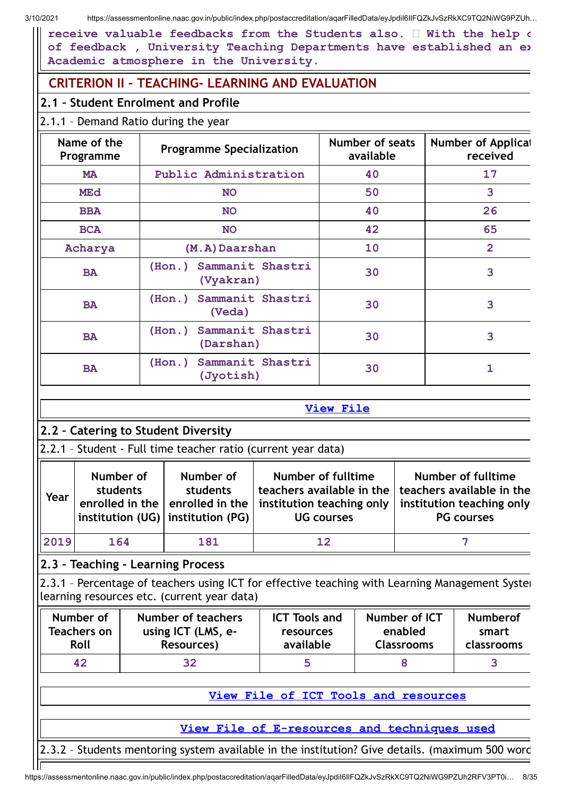**receive valuable feedbacks from the Students also. With the help o of feedback , University Teaching Departments have established an ex Academic atmosphere in the University.**

# **CRITERION II – TEACHING- LEARNING AND EVALUATION**

# **2.1 – Student Enrolment and Profile**

# 2.1.1 – Demand Ratio during the year

| Name of the<br>Programme | <b>Programme Specialization</b>      | Number of seats<br>available | <b>Number of Applicat</b><br>received |  |
|--------------------------|--------------------------------------|------------------------------|---------------------------------------|--|
| <b>MA</b>                | Public Administration                | 40                           | 17                                    |  |
| <b>MEd</b>               | <b>NO</b>                            | 50                           | 3                                     |  |
| <b>BBA</b>               | <b>NO</b>                            | 40                           | 26                                    |  |
| <b>BCA</b>               | <b>NO</b>                            | 42                           | 65                                    |  |
| Acharya                  | (M.A) Daarshan                       | 10                           | $\overline{2}$                        |  |
| <b>BA</b>                | (Hon.) Sammanit Shastri<br>(Vyakran) | 30                           | 3                                     |  |
| <b>BA</b>                | (Hon.) Sammanit Shastri<br>(Veda)    | 30                           | 3                                     |  |
| <b>BA</b>                | (Hon.) Sammanit Shastri<br>(Darshan) | 30                           | 3                                     |  |
| <b>BA</b>                | (Hon.) Sammanit Shastri<br>(Jyotish) | 30                           |                                       |  |

|--|

|        | 2.2 - Catering to Student Diversity                           |                                                                                 |                                                                                                          |                                                                                                   |  |  |  |
|--------|---------------------------------------------------------------|---------------------------------------------------------------------------------|----------------------------------------------------------------------------------------------------------|---------------------------------------------------------------------------------------------------|--|--|--|
|        | 2.2.1 - Student - Full time teacher ratio (current year data) |                                                                                 |                                                                                                          |                                                                                                   |  |  |  |
| I Year | Number of<br>students<br>enrolled in the                      | Number of<br>students<br>enrolled in the<br>institution $(UG)$ institution (PG) | <b>Number of fulltime</b><br>teachers available in the<br>institution teaching only<br><b>UG</b> courses | Number of fulltime<br>teachers available in the<br>institution teaching only<br><b>PG</b> courses |  |  |  |
| 2019   | 164                                                           | 181                                                                             |                                                                                                          |                                                                                                   |  |  |  |

# **2.3 – Teaching - Learning Process**

2.3.1 - Percentage of teachers using ICT for effective teaching with Learning Management Syster learning resources etc. (current year data)

| Number of   | Number of teachers | <b>ICT Tools and</b> | Number of ICT     | <b>Numberof</b> |
|-------------|--------------------|----------------------|-------------------|-----------------|
| Teachers on | using ICT (LMS, e- | resources            | enabled           | smart           |
| Roll        | Resources)         | available            | <b>Classrooms</b> | classrooms      |
| 42          | 32                 |                      |                   |                 |

**View File of ICT Tools and [resources](https://assessmentonline.naac.gov.in/public/Postacc/ict_tools/9020_ict_tools_1613971992.xlsx)**

**View File of [E-resources](https://assessmentonline.naac.gov.in/public/Postacc/e_resource/9020_e_resource_1613971975.xlsx) and techniques used**

2.3.2 – Students mentoring system available in the institution? Give details. (maximum 500 word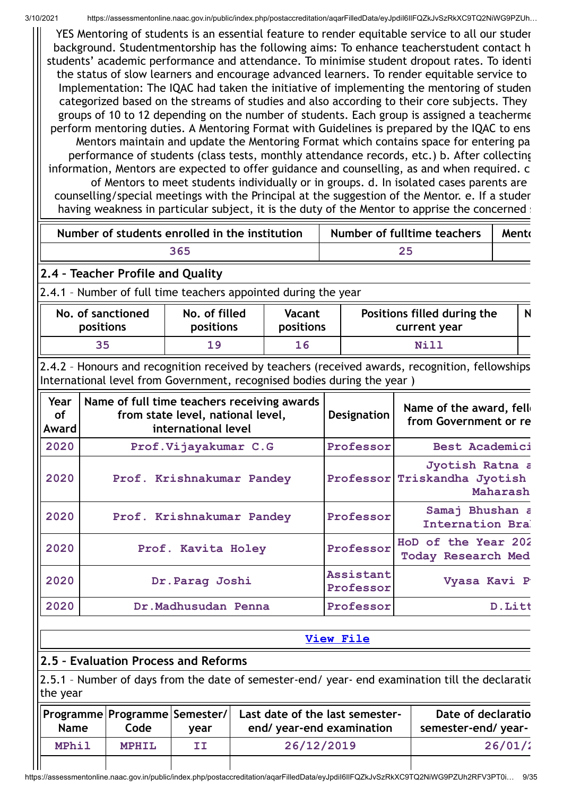YES Mentoring of students is an essential feature to render equitable service to all our studen background. Studentmentorship has the following aims: To enhance teacherstudent contact h students' academic performance and attendance. To minimise student dropout rates. To identi the status of slow learners and encourage advanced learners. To render equitable service to Implementation: The IQAC had taken the initiative of implementing the mentoring of studen categorized based on the streams of studies and also according to their core subjects. They groups of 10 to 12 depending on the number of students. Each group is assigned a teacherme perform mentoring duties. A Mentoring Format with Guidelines is prepared by the IQAC to ens Mentors maintain and update the Mentoring Format which contains space for entering pa performance of students (class tests, monthly attendance records, etc.) b. After collecting information, Mentors are expected to offer guidance and counselling, as and when required. c of Mentors to meet students individually or in groups. d. In isolated cases parents are counselling/special meetings with the Principal at the suggestion of the Mentor. e. If a studen having weakness in particular subject, it is the duty of the Mentor to apprise the concerned still

| Number of students enrolled in the institution | Number of fulltime teachers | Mento |
|------------------------------------------------|-----------------------------|-------|
| 365                                            |                             |       |

# **2.4 – Teacher Profile and Quality**

2.4.1 – Number of full time teachers appointed during the year

| No. of sanctioned | No. of filled | Vacant    | Positions filled during the | N |
|-------------------|---------------|-----------|-----------------------------|---|
| positions         | positions     | positions | current year                |   |
| 35                | 19            | 16        | Nill                        |   |

2.4.2 – Honours and recognition received by teachers (received awards, recognition, fellowships International level from Government, recognised bodies during the year )

| Year<br>of<br>Award | Name of full time teachers receiving awards<br>from state level, national level,<br>international level | Designation            | Name of the award, fell<br>from Government or re            |
|---------------------|---------------------------------------------------------------------------------------------------------|------------------------|-------------------------------------------------------------|
| 2020                | Prof.Vijayakumar C.G                                                                                    | Professor              | Best Academici                                              |
| 2020                | Prof. Krishnakumar Pandey                                                                               |                        | Jyotish Ratna a<br>Professor Triskandha Jyotish<br>Maharash |
| 2020                | Prof. Krishnakumar Pandey                                                                               | Professor              | Samaj Bhushan a<br>Internation Bra                          |
| 2020                | Prof. Kavita Holey                                                                                      | Professor              | HoD of the Year 202<br><b>Today Research Med</b>            |
| 2020                | Dr. Parag Joshi                                                                                         | Assistant<br>Professor | Vyasa Kavi P                                                |
| 2020                | Dr.Madhusudan Penna                                                                                     | Professor              | D.Litt                                                      |

# **[View](https://assessmentonline.naac.gov.in/public/Postacc/Honours_recieved/9020_Honours_recieved_1612746919.xlsx) File**

# **2.5 – Evaluation Process and Reforms**

Ш

2.5.1 - Number of days from the date of semester-end/ year- end examination till the declaration the year

| Name  | Programme Programme Semester/ <br>Code | vear | Last date of the last semester-<br>end/ year-end examination | Date of declaratio<br>semester-end/ year- |
|-------|----------------------------------------|------|--------------------------------------------------------------|-------------------------------------------|
| MPhil | <b>MPHIL</b>                           | II   | 26/12/2019                                                   | 26/01/2                                   |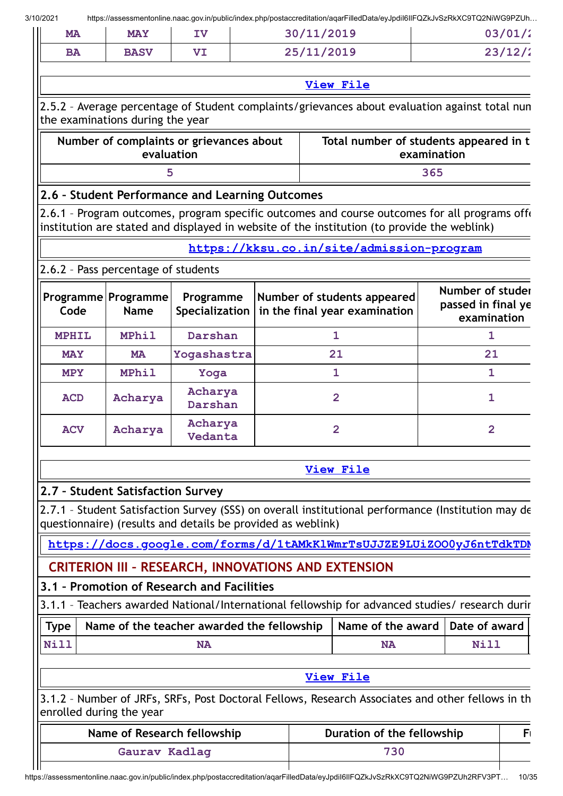$\mathbf{\mathbf{\mathsf{III}}}$ 

| 23/12/2<br>25/11/2019<br><b>BASV</b><br>VI<br><b>BA</b><br><b>View File</b><br>2.5.2 - Average percentage of Student complaints/grievances about evaluation against total nun<br>the examinations during the year<br>Number of complaints or grievances about<br>Total number of students appeared in t<br>evaluation<br>examination<br>365<br>5<br>2.6 - Student Performance and Learning Outcomes<br>2.6.1 - Program outcomes, program specific outcomes and course outcomes for all programs offer<br>institution are stated and displayed in website of the institution (to provide the weblink)<br>https://kksu.co.in/site/admission-program<br>2.6.2 - Pass percentage of students<br>Number of studer<br>Programme<br>Number of students appeared<br>Programme Programme<br>passed in final ye<br>in the final year examination<br>Code<br><b>Name</b><br>Specialization<br>examination<br><b>MPhil</b><br>Darshan<br><b>MPHIL</b><br>$\mathbf{1}$<br>1<br>21<br>21<br>Yogashastra<br><b>MAY</b><br><b>MA</b><br><b>MPhil</b><br>1<br>$\mathbf{1}$<br><b>MPY</b><br>Yoga<br>Acharya<br>$\overline{2}$<br>$\mathbf{1}$<br><b>ACD</b><br>Acharya<br>Darshan<br>Acharya<br>$\overline{2}$<br>$\overline{2}$<br><b>ACV</b><br>Acharya<br>Vedanta<br><b>View File</b><br>2.7 - Student Satisfaction Survey<br>2.7.1 - Student Satisfaction Survey (SSS) on overall institutional performance (Institution may de<br>questionnaire) (results and details be provided as weblink)<br>https://docs.google.com/forms/d/1tAMkKlWmrTsUJJZE9LUiZOO0yJ6ntTdkTDM<br><b>CRITERION III - RESEARCH, INNOVATIONS AND EXTENSION</b><br>3.1 - Promotion of Research and Facilities<br>3.1.1 - Teachers awarded National/International fellowship for advanced studies/ research durir<br>Name of the award<br>Date of award<br><b>Type</b><br>Name of the teacher awarded the fellowship<br><b>Nill</b><br>Nill<br><b>NA</b><br><b>NA</b><br><b>View File</b><br>3.1.2 - Number of JRFs, SRFs, Post Doctoral Fellows, Research Associates and other fellows in th<br>enrolled during the year<br>Name of Research fellowship<br>Duration of the fellowship<br>730<br>Gaurav Kadlag | <b>MA</b> | <b>MAY</b> | 30/11/2019<br>IV |  |  |  | 03/01/2 |  |    |
|-----------------------------------------------------------------------------------------------------------------------------------------------------------------------------------------------------------------------------------------------------------------------------------------------------------------------------------------------------------------------------------------------------------------------------------------------------------------------------------------------------------------------------------------------------------------------------------------------------------------------------------------------------------------------------------------------------------------------------------------------------------------------------------------------------------------------------------------------------------------------------------------------------------------------------------------------------------------------------------------------------------------------------------------------------------------------------------------------------------------------------------------------------------------------------------------------------------------------------------------------------------------------------------------------------------------------------------------------------------------------------------------------------------------------------------------------------------------------------------------------------------------------------------------------------------------------------------------------------------------------------------------------------------------------------------------------------------------------------------------------------------------------------------------------------------------------------------------------------------------------------------------------------------------------------------------------------------------------------------------------------------------------------------------------------------------------------------------------------------------------------------------------------------------------|-----------|------------|------------------|--|--|--|---------|--|----|
|                                                                                                                                                                                                                                                                                                                                                                                                                                                                                                                                                                                                                                                                                                                                                                                                                                                                                                                                                                                                                                                                                                                                                                                                                                                                                                                                                                                                                                                                                                                                                                                                                                                                                                                                                                                                                                                                                                                                                                                                                                                                                                                                                                       |           |            |                  |  |  |  |         |  |    |
|                                                                                                                                                                                                                                                                                                                                                                                                                                                                                                                                                                                                                                                                                                                                                                                                                                                                                                                                                                                                                                                                                                                                                                                                                                                                                                                                                                                                                                                                                                                                                                                                                                                                                                                                                                                                                                                                                                                                                                                                                                                                                                                                                                       |           |            |                  |  |  |  |         |  |    |
|                                                                                                                                                                                                                                                                                                                                                                                                                                                                                                                                                                                                                                                                                                                                                                                                                                                                                                                                                                                                                                                                                                                                                                                                                                                                                                                                                                                                                                                                                                                                                                                                                                                                                                                                                                                                                                                                                                                                                                                                                                                                                                                                                                       |           |            |                  |  |  |  |         |  |    |
|                                                                                                                                                                                                                                                                                                                                                                                                                                                                                                                                                                                                                                                                                                                                                                                                                                                                                                                                                                                                                                                                                                                                                                                                                                                                                                                                                                                                                                                                                                                                                                                                                                                                                                                                                                                                                                                                                                                                                                                                                                                                                                                                                                       |           |            |                  |  |  |  |         |  |    |
|                                                                                                                                                                                                                                                                                                                                                                                                                                                                                                                                                                                                                                                                                                                                                                                                                                                                                                                                                                                                                                                                                                                                                                                                                                                                                                                                                                                                                                                                                                                                                                                                                                                                                                                                                                                                                                                                                                                                                                                                                                                                                                                                                                       |           |            |                  |  |  |  |         |  |    |
|                                                                                                                                                                                                                                                                                                                                                                                                                                                                                                                                                                                                                                                                                                                                                                                                                                                                                                                                                                                                                                                                                                                                                                                                                                                                                                                                                                                                                                                                                                                                                                                                                                                                                                                                                                                                                                                                                                                                                                                                                                                                                                                                                                       |           |            |                  |  |  |  |         |  |    |
|                                                                                                                                                                                                                                                                                                                                                                                                                                                                                                                                                                                                                                                                                                                                                                                                                                                                                                                                                                                                                                                                                                                                                                                                                                                                                                                                                                                                                                                                                                                                                                                                                                                                                                                                                                                                                                                                                                                                                                                                                                                                                                                                                                       |           |            |                  |  |  |  |         |  |    |
|                                                                                                                                                                                                                                                                                                                                                                                                                                                                                                                                                                                                                                                                                                                                                                                                                                                                                                                                                                                                                                                                                                                                                                                                                                                                                                                                                                                                                                                                                                                                                                                                                                                                                                                                                                                                                                                                                                                                                                                                                                                                                                                                                                       |           |            |                  |  |  |  |         |  |    |
|                                                                                                                                                                                                                                                                                                                                                                                                                                                                                                                                                                                                                                                                                                                                                                                                                                                                                                                                                                                                                                                                                                                                                                                                                                                                                                                                                                                                                                                                                                                                                                                                                                                                                                                                                                                                                                                                                                                                                                                                                                                                                                                                                                       |           |            |                  |  |  |  |         |  |    |
|                                                                                                                                                                                                                                                                                                                                                                                                                                                                                                                                                                                                                                                                                                                                                                                                                                                                                                                                                                                                                                                                                                                                                                                                                                                                                                                                                                                                                                                                                                                                                                                                                                                                                                                                                                                                                                                                                                                                                                                                                                                                                                                                                                       |           |            |                  |  |  |  |         |  |    |
|                                                                                                                                                                                                                                                                                                                                                                                                                                                                                                                                                                                                                                                                                                                                                                                                                                                                                                                                                                                                                                                                                                                                                                                                                                                                                                                                                                                                                                                                                                                                                                                                                                                                                                                                                                                                                                                                                                                                                                                                                                                                                                                                                                       |           |            |                  |  |  |  |         |  |    |
|                                                                                                                                                                                                                                                                                                                                                                                                                                                                                                                                                                                                                                                                                                                                                                                                                                                                                                                                                                                                                                                                                                                                                                                                                                                                                                                                                                                                                                                                                                                                                                                                                                                                                                                                                                                                                                                                                                                                                                                                                                                                                                                                                                       |           |            |                  |  |  |  |         |  |    |
|                                                                                                                                                                                                                                                                                                                                                                                                                                                                                                                                                                                                                                                                                                                                                                                                                                                                                                                                                                                                                                                                                                                                                                                                                                                                                                                                                                                                                                                                                                                                                                                                                                                                                                                                                                                                                                                                                                                                                                                                                                                                                                                                                                       |           |            |                  |  |  |  |         |  |    |
|                                                                                                                                                                                                                                                                                                                                                                                                                                                                                                                                                                                                                                                                                                                                                                                                                                                                                                                                                                                                                                                                                                                                                                                                                                                                                                                                                                                                                                                                                                                                                                                                                                                                                                                                                                                                                                                                                                                                                                                                                                                                                                                                                                       |           |            |                  |  |  |  |         |  |    |
|                                                                                                                                                                                                                                                                                                                                                                                                                                                                                                                                                                                                                                                                                                                                                                                                                                                                                                                                                                                                                                                                                                                                                                                                                                                                                                                                                                                                                                                                                                                                                                                                                                                                                                                                                                                                                                                                                                                                                                                                                                                                                                                                                                       |           |            |                  |  |  |  |         |  |    |
|                                                                                                                                                                                                                                                                                                                                                                                                                                                                                                                                                                                                                                                                                                                                                                                                                                                                                                                                                                                                                                                                                                                                                                                                                                                                                                                                                                                                                                                                                                                                                                                                                                                                                                                                                                                                                                                                                                                                                                                                                                                                                                                                                                       |           |            |                  |  |  |  |         |  |    |
|                                                                                                                                                                                                                                                                                                                                                                                                                                                                                                                                                                                                                                                                                                                                                                                                                                                                                                                                                                                                                                                                                                                                                                                                                                                                                                                                                                                                                                                                                                                                                                                                                                                                                                                                                                                                                                                                                                                                                                                                                                                                                                                                                                       |           |            |                  |  |  |  |         |  |    |
|                                                                                                                                                                                                                                                                                                                                                                                                                                                                                                                                                                                                                                                                                                                                                                                                                                                                                                                                                                                                                                                                                                                                                                                                                                                                                                                                                                                                                                                                                                                                                                                                                                                                                                                                                                                                                                                                                                                                                                                                                                                                                                                                                                       |           |            |                  |  |  |  |         |  |    |
|                                                                                                                                                                                                                                                                                                                                                                                                                                                                                                                                                                                                                                                                                                                                                                                                                                                                                                                                                                                                                                                                                                                                                                                                                                                                                                                                                                                                                                                                                                                                                                                                                                                                                                                                                                                                                                                                                                                                                                                                                                                                                                                                                                       |           |            |                  |  |  |  |         |  |    |
|                                                                                                                                                                                                                                                                                                                                                                                                                                                                                                                                                                                                                                                                                                                                                                                                                                                                                                                                                                                                                                                                                                                                                                                                                                                                                                                                                                                                                                                                                                                                                                                                                                                                                                                                                                                                                                                                                                                                                                                                                                                                                                                                                                       |           |            |                  |  |  |  |         |  |    |
|                                                                                                                                                                                                                                                                                                                                                                                                                                                                                                                                                                                                                                                                                                                                                                                                                                                                                                                                                                                                                                                                                                                                                                                                                                                                                                                                                                                                                                                                                                                                                                                                                                                                                                                                                                                                                                                                                                                                                                                                                                                                                                                                                                       |           |            |                  |  |  |  |         |  |    |
|                                                                                                                                                                                                                                                                                                                                                                                                                                                                                                                                                                                                                                                                                                                                                                                                                                                                                                                                                                                                                                                                                                                                                                                                                                                                                                                                                                                                                                                                                                                                                                                                                                                                                                                                                                                                                                                                                                                                                                                                                                                                                                                                                                       |           |            |                  |  |  |  |         |  |    |
|                                                                                                                                                                                                                                                                                                                                                                                                                                                                                                                                                                                                                                                                                                                                                                                                                                                                                                                                                                                                                                                                                                                                                                                                                                                                                                                                                                                                                                                                                                                                                                                                                                                                                                                                                                                                                                                                                                                                                                                                                                                                                                                                                                       |           |            |                  |  |  |  |         |  |    |
|                                                                                                                                                                                                                                                                                                                                                                                                                                                                                                                                                                                                                                                                                                                                                                                                                                                                                                                                                                                                                                                                                                                                                                                                                                                                                                                                                                                                                                                                                                                                                                                                                                                                                                                                                                                                                                                                                                                                                                                                                                                                                                                                                                       |           |            |                  |  |  |  |         |  |    |
|                                                                                                                                                                                                                                                                                                                                                                                                                                                                                                                                                                                                                                                                                                                                                                                                                                                                                                                                                                                                                                                                                                                                                                                                                                                                                                                                                                                                                                                                                                                                                                                                                                                                                                                                                                                                                                                                                                                                                                                                                                                                                                                                                                       |           |            |                  |  |  |  |         |  |    |
|                                                                                                                                                                                                                                                                                                                                                                                                                                                                                                                                                                                                                                                                                                                                                                                                                                                                                                                                                                                                                                                                                                                                                                                                                                                                                                                                                                                                                                                                                                                                                                                                                                                                                                                                                                                                                                                                                                                                                                                                                                                                                                                                                                       |           |            |                  |  |  |  |         |  |    |
|                                                                                                                                                                                                                                                                                                                                                                                                                                                                                                                                                                                                                                                                                                                                                                                                                                                                                                                                                                                                                                                                                                                                                                                                                                                                                                                                                                                                                                                                                                                                                                                                                                                                                                                                                                                                                                                                                                                                                                                                                                                                                                                                                                       |           |            |                  |  |  |  |         |  |    |
|                                                                                                                                                                                                                                                                                                                                                                                                                                                                                                                                                                                                                                                                                                                                                                                                                                                                                                                                                                                                                                                                                                                                                                                                                                                                                                                                                                                                                                                                                                                                                                                                                                                                                                                                                                                                                                                                                                                                                                                                                                                                                                                                                                       |           |            |                  |  |  |  |         |  | F١ |
|                                                                                                                                                                                                                                                                                                                                                                                                                                                                                                                                                                                                                                                                                                                                                                                                                                                                                                                                                                                                                                                                                                                                                                                                                                                                                                                                                                                                                                                                                                                                                                                                                                                                                                                                                                                                                                                                                                                                                                                                                                                                                                                                                                       |           |            |                  |  |  |  |         |  |    |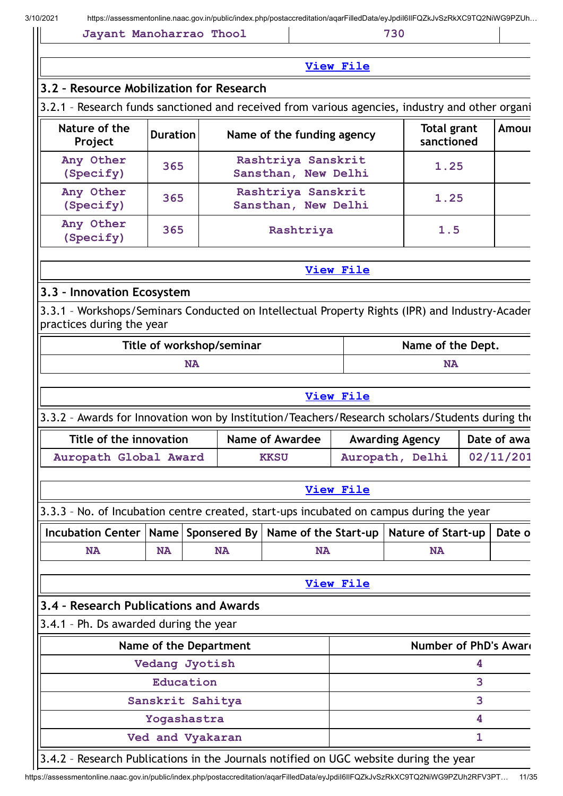| 3.2 - Resource Mobilization for Research<br>3.2.1 - Research funds sanctioned and received from various agencies, industry and other organi |                                                                                                                    |                           | <b>View File</b>                          |                  |                           |              |             |  |
|---------------------------------------------------------------------------------------------------------------------------------------------|--------------------------------------------------------------------------------------------------------------------|---------------------------|-------------------------------------------|------------------|---------------------------|--------------|-------------|--|
|                                                                                                                                             |                                                                                                                    |                           |                                           |                  |                           |              |             |  |
|                                                                                                                                             |                                                                                                                    |                           |                                           |                  |                           |              |             |  |
|                                                                                                                                             |                                                                                                                    |                           |                                           |                  |                           |              |             |  |
| Project                                                                                                                                     | Nature of the<br><b>Total grant</b><br><b>Amour</b><br><b>Duration</b><br>Name of the funding agency<br>sanctioned |                           |                                           |                  |                           |              |             |  |
| Any Other<br>(Specify)                                                                                                                      | Rashtriya Sanskrit<br>1.25<br>365<br>Sansthan, New Delhi                                                           |                           |                                           |                  |                           |              |             |  |
| Any Other<br>(Specify)                                                                                                                      | 365                                                                                                                |                           | Rashtriya Sanskrit<br>Sansthan, New Delhi |                  | 1.25                      |              |             |  |
| Any Other<br>(Specify)                                                                                                                      | 365                                                                                                                |                           | Rashtriya                                 |                  | 1.5                       |              |             |  |
|                                                                                                                                             |                                                                                                                    |                           |                                           | <b>View File</b> |                           |              |             |  |
| 3.3 - Innovation Ecosystem                                                                                                                  |                                                                                                                    |                           |                                           |                  |                           |              |             |  |
| 3.3.1 - Workshops/Seminars Conducted on Intellectual Property Rights (IPR) and Industry-Acader<br>practices during the year                 |                                                                                                                    |                           |                                           |                  |                           |              |             |  |
|                                                                                                                                             |                                                                                                                    | Title of workshop/seminar |                                           |                  | Name of the Dept.         |              |             |  |
|                                                                                                                                             |                                                                                                                    | <b>NA</b>                 |                                           |                  | <b>NA</b>                 |              |             |  |
|                                                                                                                                             |                                                                                                                    |                           |                                           | <b>View File</b> |                           |              |             |  |
| 3.3.2 - Awards for Innovation won by Institution/Teachers/Research scholars/Students during the                                             |                                                                                                                    |                           |                                           |                  |                           |              |             |  |
| Title of the innovation                                                                                                                     |                                                                                                                    |                           | <b>Name of Awardee</b>                    |                  | <b>Awarding Agency</b>    |              | Date of awa |  |
| Auropath Global Award                                                                                                                       |                                                                                                                    |                           | <b>KKSU</b>                               |                  | Auropath, Delhi           |              | 02/11/201   |  |
|                                                                                                                                             |                                                                                                                    |                           |                                           | <b>View File</b> |                           |              |             |  |
| 3.3.3 - No. of Incubation centre created, start-ups incubated on campus during the year                                                     |                                                                                                                    |                           |                                           |                  |                           |              |             |  |
| <b>Incubation Center</b>                                                                                                                    | Name                                                                                                               | Sponsered By              | Name of the Start-up                      |                  | <b>Nature of Start-up</b> |              | Date o      |  |
| <b>NA</b>                                                                                                                                   | <b>NA</b>                                                                                                          | <b>NA</b>                 | <b>NA</b>                                 |                  | <b>NA</b>                 |              |             |  |
|                                                                                                                                             |                                                                                                                    |                           |                                           | <b>View File</b> |                           |              |             |  |
| 3.4 - Research Publications and Awards                                                                                                      |                                                                                                                    |                           |                                           |                  |                           |              |             |  |
| 3.4.1 - Ph. Ds awarded during the year                                                                                                      |                                                                                                                    |                           |                                           |                  |                           |              |             |  |
|                                                                                                                                             |                                                                                                                    | Name of the Department    |                                           |                  | Number of PhD's Award     |              |             |  |
|                                                                                                                                             |                                                                                                                    | Vedang Jyotish            |                                           |                  |                           | 4            |             |  |
|                                                                                                                                             | Education                                                                                                          |                           |                                           |                  |                           | 3            |             |  |
|                                                                                                                                             |                                                                                                                    | Sanskrit Sahitya          |                                           |                  |                           | 3            |             |  |
|                                                                                                                                             | Yogashastra                                                                                                        |                           |                                           |                  |                           | 4            |             |  |
|                                                                                                                                             |                                                                                                                    | Ved and Vyakaran          |                                           |                  |                           | $\mathbf{1}$ |             |  |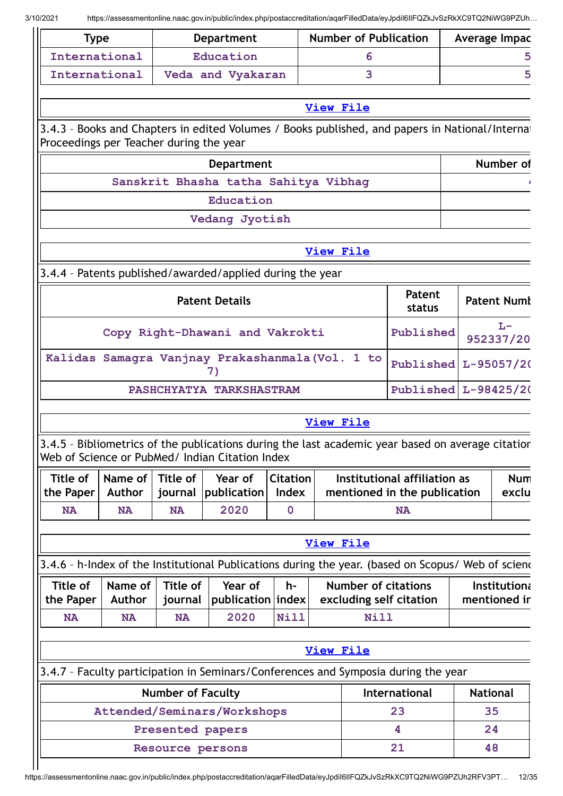| <b>Type</b>                             |                            |                          | <b>Department</b>                                         |                             | <b>Number of Publication</b> |                            |                                                                                                    | Average Impac        |                              |
|-----------------------------------------|----------------------------|--------------------------|-----------------------------------------------------------|-----------------------------|------------------------------|----------------------------|----------------------------------------------------------------------------------------------------|----------------------|------------------------------|
| International                           |                            |                          | Education                                                 |                             | 6                            |                            |                                                                                                    |                      | 5                            |
| International                           |                            |                          | Veda and Vyakaran                                         |                             | 3                            |                            |                                                                                                    |                      | 5                            |
|                                         |                            |                          |                                                           |                             | <b>View File</b>             |                            |                                                                                                    |                      |                              |
|                                         |                            |                          |                                                           |                             |                              |                            | 3.4.3 - Books and Chapters in edited Volumes / Books published, and papers in National/Internat    |                      |                              |
| Proceedings per Teacher during the year |                            |                          |                                                           |                             |                              |                            |                                                                                                    |                      |                              |
|                                         |                            |                          | <b>Department</b>                                         |                             |                              |                            |                                                                                                    |                      | Number of                    |
|                                         |                            |                          | Sanskrit Bhasha tatha Sahitya Vibhag                      |                             |                              |                            |                                                                                                    |                      |                              |
|                                         |                            |                          | Education                                                 |                             |                              |                            |                                                                                                    |                      |                              |
|                                         |                            |                          | Vedang Jyotish                                            |                             |                              |                            |                                                                                                    |                      |                              |
|                                         |                            |                          |                                                           |                             | <b>View File</b>             |                            |                                                                                                    |                      |                              |
|                                         |                            |                          | 3.4.4 - Patents published/awarded/applied during the year |                             |                              |                            |                                                                                                    |                      |                              |
|                                         |                            |                          | <b>Patent Details</b>                                     |                             |                              |                            | Patent<br>status                                                                                   |                      | <b>Patent Numt</b>           |
|                                         |                            |                          | Copy Right-Dhawani and Vakrokti                           |                             |                              |                            | Published                                                                                          |                      | $L -$<br>952337/20           |
|                                         |                            |                          | Kalidas Samagra Vanjnay Prakashanmala (Vol. 1 to<br>7)    |                             |                              |                            | Published                                                                                          |                      | $L-95057/20$                 |
|                                         |                            |                          | PASHCHYATYA TARKSHASTRAM                                  |                             |                              |                            |                                                                                                    | Published L-98425/20 |                              |
|                                         |                            |                          |                                                           |                             | <b>View File</b>             |                            |                                                                                                    |                      |                              |
|                                         |                            |                          |                                                           |                             |                              |                            |                                                                                                    |                      |                              |
|                                         |                            |                          | Web of Science or PubMed/ Indian Citation Index           |                             |                              |                            | 3.4.5 - Bibliometrics of the publications during the last academic year based on average citation  |                      |                              |
| <b>Title of</b>                         | Name of                    | <b>Title of</b>          | Year of                                                   | <b>Citation</b>             |                              |                            | Institutional affiliation as                                                                       |                      | <b>Num</b>                   |
| the Paper<br><b>NA</b>                  | <b>Author</b><br><b>NA</b> | journal<br><b>NA</b>     | publication<br>2020                                       | <b>Index</b><br>$\mathbf 0$ |                              |                            | mentioned in the publication<br><b>NA</b>                                                          |                      | exclu                        |
|                                         |                            |                          |                                                           |                             |                              |                            |                                                                                                    |                      |                              |
|                                         |                            |                          |                                                           |                             | <b>View File</b>             |                            |                                                                                                    |                      |                              |
|                                         |                            |                          |                                                           |                             |                              |                            | 3.4.6 - h-Index of the Institutional Publications during the year. (based on Scopus/ Web of sciend |                      |                              |
| <b>Title of</b><br>the Paper            | Name of<br>Author          | Title of<br>journal      | Year of<br>publication index                              | h-                          |                              | <b>Number of citations</b> | excluding self citation                                                                            |                      | Institutiona<br>mentioned in |
| <b>NA</b>                               | <b>NA</b>                  | <b>NA</b>                | 2020                                                      | <b>Nill</b>                 |                              | Nill                       |                                                                                                    |                      |                              |
|                                         |                            |                          |                                                           |                             | <b>View File</b>             |                            |                                                                                                    |                      |                              |
|                                         |                            |                          |                                                           |                             |                              |                            | 3.4.7 - Faculty participation in Seminars/Conferences and Symposia during the year                 |                      |                              |
|                                         |                            | <b>Number of Faculty</b> |                                                           |                             |                              |                            | International                                                                                      |                      | <b>National</b>              |
|                                         |                            |                          | Attended/Seminars/Workshops                               |                             |                              |                            | 23                                                                                                 |                      | 35                           |
|                                         |                            | Presented papers         |                                                           |                             |                              |                            | 4                                                                                                  |                      | 24                           |
|                                         |                            | Resource persons         |                                                           |                             |                              |                            | 21                                                                                                 |                      | 48                           |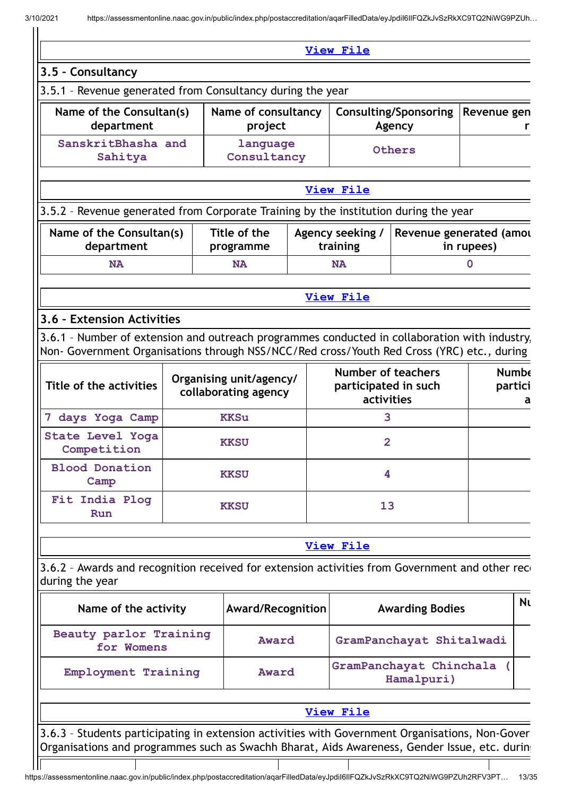|                                                                                                                                                                                                  |                                                 | View File                                                |                                         |                         |    |
|--------------------------------------------------------------------------------------------------------------------------------------------------------------------------------------------------|-------------------------------------------------|----------------------------------------------------------|-----------------------------------------|-------------------------|----|
| 3.5 - Consultancy                                                                                                                                                                                |                                                 |                                                          |                                         |                         |    |
| 3.5.1 - Revenue generated from Consultancy during the year                                                                                                                                       |                                                 |                                                          |                                         |                         |    |
| Name of the Consultan(s)<br>department                                                                                                                                                           | Name of consultancy<br>project                  |                                                          | <b>Consulting/Sponsoring</b><br>Agency  | Revenue gen             | r  |
| SanskritBhasha and<br>Sahitya                                                                                                                                                                    | language<br>Consultancy                         |                                                          | Others                                  |                         |    |
|                                                                                                                                                                                                  |                                                 | <b>View File</b>                                         |                                         |                         |    |
| 3.5.2 - Revenue generated from Corporate Training by the institution during the year                                                                                                             |                                                 |                                                          |                                         |                         |    |
| Name of the Consultan(s)<br>department                                                                                                                                                           | Title of the<br>programme                       | Agency seeking /<br>training                             | Revenue generated (amou                 | in rupees)              |    |
| <b>NA</b>                                                                                                                                                                                        | <b>NA</b>                                       | <b>NA</b>                                                |                                         | $\mathbf 0$             |    |
|                                                                                                                                                                                                  |                                                 | <b>View File</b>                                         |                                         |                         |    |
| 3.6 - Extension Activities                                                                                                                                                                       |                                                 |                                                          |                                         |                         |    |
| 3.6.1 - Number of extension and outreach programmes conducted in collaboration with industry,<br>Non- Government Organisations through NSS/NCC/Red cross/Youth Red Cross (YRC) etc., during      |                                                 |                                                          |                                         |                         |    |
| Title of the activities                                                                                                                                                                          | Organising unit/agency/<br>collaborating agency | Number of teachers<br>participated in such<br>activities |                                         | <b>Numbe</b><br>partici | a  |
| 7 days Yoga Camp                                                                                                                                                                                 | <b>KKSu</b>                                     | 3                                                        |                                         |                         |    |
| State Level Yoga<br>Competition                                                                                                                                                                  | <b>KKSU</b>                                     | $\overline{2}$                                           |                                         |                         |    |
| <b>Blood Donation</b><br>Camp                                                                                                                                                                    | <b>KKSU</b>                                     | 4                                                        |                                         |                         |    |
| Fit India Plog<br>Run                                                                                                                                                                            | <b>KKSU</b>                                     | 13                                                       |                                         |                         |    |
|                                                                                                                                                                                                  |                                                 | <b>View File</b>                                         |                                         |                         |    |
| 3.6.2 - Awards and recognition received for extension activities from Government and other reco<br>during the year                                                                               |                                                 |                                                          |                                         |                         |    |
| Name of the activity                                                                                                                                                                             | Award/Recognition                               |                                                          | <b>Awarding Bodies</b>                  |                         | Nι |
| Beauty parlor Training<br>for Womens                                                                                                                                                             | Award                                           |                                                          | GramPanchayat Shitalwadi                |                         |    |
| Employment Training                                                                                                                                                                              | Award                                           |                                                          | GramPanchayat Chinchala (<br>Hamalpuri) |                         |    |
|                                                                                                                                                                                                  |                                                 | <b>View File</b>                                         |                                         |                         |    |
| 3.6.3 - Students participating in extension activities with Government Organisations, Non-Gover<br>Organisations and programmes such as Swachh Bharat, Aids Awareness, Gender Issue, etc. during |                                                 |                                                          |                                         |                         |    |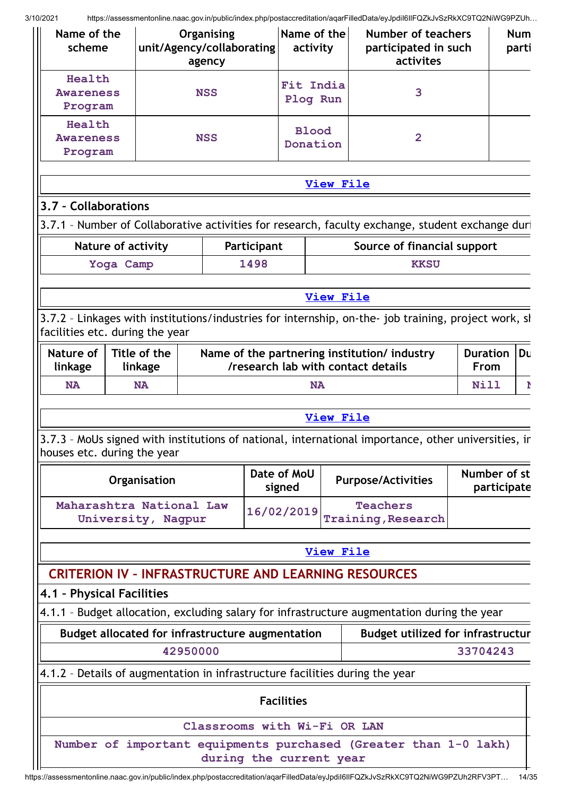|                                 | Name of the<br>Name of the<br>Organising<br>Number of teachers<br>unit/Agency/collaborating<br>participated in such<br>scheme<br>activity<br>activites<br>agency |                                                  |                              |             |                       |  |                                                                                                      |                         |             | <b>Num</b><br>parti |
|---------------------------------|------------------------------------------------------------------------------------------------------------------------------------------------------------------|--------------------------------------------------|------------------------------|-------------|-----------------------|--|------------------------------------------------------------------------------------------------------|-------------------------|-------------|---------------------|
| Health                          |                                                                                                                                                                  |                                                  | Fit India                    |             |                       |  |                                                                                                      |                         |             |                     |
| <b>Awareness</b>                |                                                                                                                                                                  |                                                  | <b>NSS</b>                   |             | Plog Run              |  | 3                                                                                                    |                         |             |                     |
| Program                         |                                                                                                                                                                  |                                                  |                              |             |                       |  |                                                                                                      |                         |             |                     |
| Health                          |                                                                                                                                                                  |                                                  |                              |             | <b>Blood</b>          |  |                                                                                                      |                         |             |                     |
| <b>Awareness</b>                |                                                                                                                                                                  |                                                  | <b>NSS</b>                   |             | Donation              |  | $\overline{2}$                                                                                       |                         |             |                     |
| Program                         |                                                                                                                                                                  |                                                  |                              |             |                       |  |                                                                                                      |                         |             |                     |
|                                 |                                                                                                                                                                  |                                                  |                              |             |                       |  | <b>View File</b>                                                                                     |                         |             |                     |
| 3.7 - Collaborations            |                                                                                                                                                                  |                                                  |                              |             |                       |  |                                                                                                      |                         |             |                     |
|                                 |                                                                                                                                                                  |                                                  |                              |             |                       |  | 3.7.1 - Number of Collaborative activities for research, faculty exchange, student exchange duri     |                         |             |                     |
|                                 |                                                                                                                                                                  | <b>Nature of activity</b>                        |                              | Participant |                       |  | Source of financial support                                                                          |                         |             |                     |
|                                 | Yoga Camp                                                                                                                                                        |                                                  |                              | 1498        |                       |  | <b>KKSU</b>                                                                                          |                         |             |                     |
|                                 |                                                                                                                                                                  |                                                  |                              |             |                       |  |                                                                                                      |                         |             |                     |
|                                 |                                                                                                                                                                  |                                                  |                              |             |                       |  | <b>View File</b>                                                                                     |                         |             |                     |
| facilities etc. during the year |                                                                                                                                                                  |                                                  |                              |             |                       |  | 3.7.2 - Linkages with institutions/industries for internship, on-the- job training, project work, sh |                         |             |                     |
| Nature of<br>linkage            |                                                                                                                                                                  | Title of the<br>linkage                          |                              |             |                       |  | Name of the partnering institution/ industry<br>/research lab with contact details                   | <b>Duration</b><br>From |             | Du                  |
| <b>NA</b>                       |                                                                                                                                                                  | <b>NA</b>                                        |                              |             | <b>NA</b>             |  | <b>Nill</b><br>Þ                                                                                     |                         |             |                     |
|                                 |                                                                                                                                                                  |                                                  |                              |             |                       |  | <b>View File</b>                                                                                     |                         |             |                     |
|                                 |                                                                                                                                                                  |                                                  |                              |             |                       |  |                                                                                                      |                         |             |                     |
| houses etc. during the year     |                                                                                                                                                                  |                                                  |                              |             |                       |  | 3.7.3 - MoUs signed with institutions of national, international importance, other universities, in  |                         |             |                     |
|                                 |                                                                                                                                                                  | Organisation                                     |                              |             | Date of MoU<br>signed |  | <b>Purpose/Activities</b>                                                                            | Number of st            | participate |                     |
|                                 |                                                                                                                                                                  | Maharashtra National Law<br>University, Nagpur   |                              |             | 16/02/2019            |  | <b>Teachers</b><br><b>Training, Research</b>                                                         |                         |             |                     |
|                                 |                                                                                                                                                                  |                                                  |                              |             |                       |  | <b>View File</b>                                                                                     |                         |             |                     |
|                                 |                                                                                                                                                                  |                                                  |                              |             |                       |  | <b>CRITERION IV - INFRASTRUCTURE AND LEARNING RESOURCES</b>                                          |                         |             |                     |
| 4.1 - Physical Facilities       |                                                                                                                                                                  |                                                  |                              |             |                       |  |                                                                                                      |                         |             |                     |
|                                 |                                                                                                                                                                  |                                                  |                              |             |                       |  | 4.1.1 - Budget allocation, excluding salary for infrastructure augmentation during the year          |                         |             |                     |
|                                 |                                                                                                                                                                  | Budget allocated for infrastructure augmentation |                              |             |                       |  | <b>Budget utilized for infrastructur</b>                                                             |                         |             |                     |
|                                 |                                                                                                                                                                  | 42950000                                         |                              |             |                       |  |                                                                                                      | 33704243                |             |                     |
|                                 |                                                                                                                                                                  |                                                  |                              |             |                       |  | 4.1.2 - Details of augmentation in infrastructure facilities during the year                         |                         |             |                     |
|                                 |                                                                                                                                                                  |                                                  |                              |             |                       |  |                                                                                                      |                         |             |                     |
|                                 |                                                                                                                                                                  |                                                  |                              |             | <b>Facilities</b>     |  |                                                                                                      |                         |             |                     |
|                                 |                                                                                                                                                                  |                                                  | Classrooms with Wi-Fi OR LAN |             |                       |  |                                                                                                      |                         |             |                     |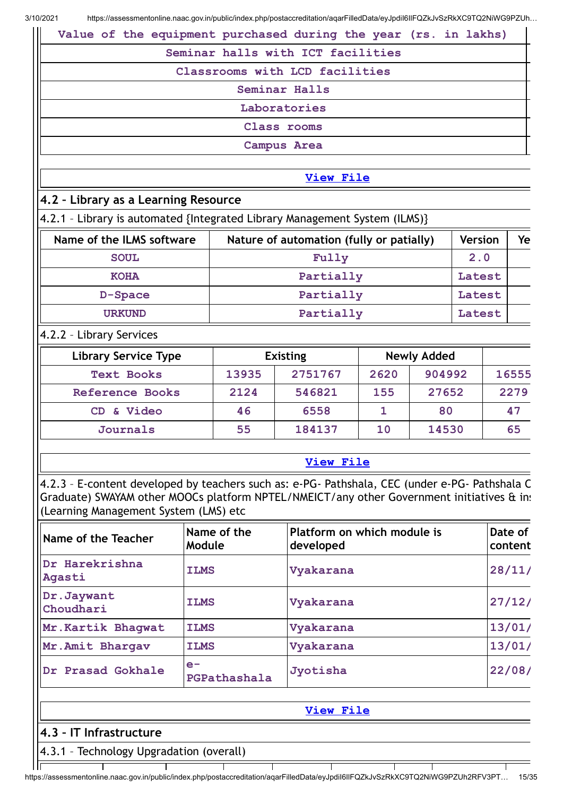| Value of the equipment purchased during the year (rs. in lakhs) |
|-----------------------------------------------------------------|
| Seminar halls with ICT facilities                               |
| Classrooms with LCD facilities                                  |
| Seminar Halls                                                   |
| Laboratories                                                    |
| Class rooms                                                     |
| <b>Campus Area</b>                                              |
|                                                                 |
| <b>View File</b>                                                |

# **4.2 – Library as a Learning Resource**

4.2.1 – Library is automated {Integrated Library Management System (ILMS)}

| Name of the ILMS software | Nature of automation (fully or patially) | <b>Version</b> | Ye |
|---------------------------|------------------------------------------|----------------|----|
| <b>SOUL</b>               | Fully                                    | 2.0            |    |
| <b>KOHA</b>               | Partially                                | Latest         |    |
| D-Space                   | Partially                                | Latest         |    |
| <b>URKUND</b>             | Partially                                | Latest         |    |

## 4.2.2 – Library Services

| <b>Library Service Type</b> |       | <b>Existing</b> | <b>Newly Added</b> |        |       |
|-----------------------------|-------|-----------------|--------------------|--------|-------|
| <b>Text Books</b>           | 13935 | 2751767         | 2620               | 904992 | 16555 |
| <b>Reference Books</b>      | 2124  | 546821          | 155                | 27652  | 2279  |
| CD & Video                  | 46    | 6558            |                    | 80     | 47    |
| Journals                    | 55    | 184137          | 10                 | 14530  | 65    |

## **[View](https://assessmentonline.naac.gov.in/public/Postacc/Library/9020_Library_1613971269.xlsx) File**

4.2.3 – E-content developed by teachers such as: e-PG- Pathshala, CEC (under e-PG- Pathshala C Graduate) SWAYAM other MOOCs platform NPTEL/NMEICT/any other Government initiatives & ins (Learning Management System (LMS) etc

| Name of the Teacher      | Name of the<br>Module | Platform on which module is<br>developed | Date of<br>content |
|--------------------------|-----------------------|------------------------------------------|--------------------|
| Dr Harekrishna<br>Agasti | <b>ILMS</b>           | Vyakarana                                | 28/11/             |
| Dr.Jaywant<br>Choudhari  | <b>ILMS</b>           | Vyakarana                                | 27/12/             |
| Mr. Kartik Bhagwat       | <b>ILMS</b>           | Vyakarana                                | 13/01/             |
| Mr. Amit Bhargav         | <b>ILMS</b>           | Vyakarana                                | 13/01/             |
| Dr Prasad Gokhale        | $e-$<br>PGPathashala  | Jyotisha                                 | 22/08/             |

|                              | View File |
|------------------------------|-----------|
| $  4.3 -  T $ Infrastructure |           |
| $\cdots$<br>.                |           |

 $\overline{\top}$ 

4.3.1 – Technology Upgradation (overall)llī

 $\mathbf{T}$ 

T

Τ  $\mathsf T$ https://assessmentonline.naac.gov.in/public/index.php/postaccreditation/aqarFilledData/eyJpdiI6IlFQZkJvSzRkXC9TQ2NiWG9PZUh2RFV3PT… 15/35

T

T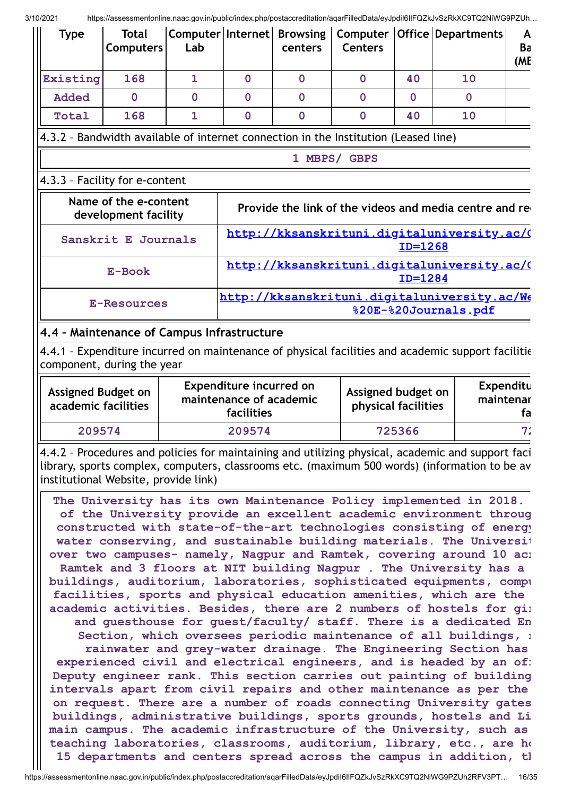| <b>Type</b>                                                                                                                                                                                                                                                                                                                                                                                                                                                                                                                                                                                                                                                                                                                                                                                                                                                                                                                                                                                                                                                                                                                                                                                                                                                                                                                                                                                                                                                                                                                                                                                            | <b>Total</b><br><b>Computers</b>                                                    | Lab            |                                                                         | centers        | <b>Centers</b>                            |             | Computer   Internet   Browsing   Computer   Office   Departments                                  | A<br>Ba<br>(ME |
|--------------------------------------------------------------------------------------------------------------------------------------------------------------------------------------------------------------------------------------------------------------------------------------------------------------------------------------------------------------------------------------------------------------------------------------------------------------------------------------------------------------------------------------------------------------------------------------------------------------------------------------------------------------------------------------------------------------------------------------------------------------------------------------------------------------------------------------------------------------------------------------------------------------------------------------------------------------------------------------------------------------------------------------------------------------------------------------------------------------------------------------------------------------------------------------------------------------------------------------------------------------------------------------------------------------------------------------------------------------------------------------------------------------------------------------------------------------------------------------------------------------------------------------------------------------------------------------------------------|-------------------------------------------------------------------------------------|----------------|-------------------------------------------------------------------------|----------------|-------------------------------------------|-------------|---------------------------------------------------------------------------------------------------|----------------|
| Existing                                                                                                                                                                                                                                                                                                                                                                                                                                                                                                                                                                                                                                                                                                                                                                                                                                                                                                                                                                                                                                                                                                                                                                                                                                                                                                                                                                                                                                                                                                                                                                                               | 168                                                                                 | $\mathbf{1}$   | $\mathbf 0$                                                             | $\mathbf 0$    | $\mathbf 0$                               | 40          | 10                                                                                                |                |
| <b>Added</b>                                                                                                                                                                                                                                                                                                                                                                                                                                                                                                                                                                                                                                                                                                                                                                                                                                                                                                                                                                                                                                                                                                                                                                                                                                                                                                                                                                                                                                                                                                                                                                                           | $\mathbf{0}$                                                                        | $\overline{0}$ | $\mathbf 0$                                                             | $\mathbf 0$    | $\mathbf 0$                               | $\mathbf 0$ | $\mathbf{0}$                                                                                      |                |
| Total                                                                                                                                                                                                                                                                                                                                                                                                                                                                                                                                                                                                                                                                                                                                                                                                                                                                                                                                                                                                                                                                                                                                                                                                                                                                                                                                                                                                                                                                                                                                                                                                  | 168                                                                                 | $\overline{1}$ | $\overline{0}$                                                          | $\overline{0}$ | $\overline{0}$                            | 40          | 10                                                                                                |                |
|                                                                                                                                                                                                                                                                                                                                                                                                                                                                                                                                                                                                                                                                                                                                                                                                                                                                                                                                                                                                                                                                                                                                                                                                                                                                                                                                                                                                                                                                                                                                                                                                        | 4.3.2 - Bandwidth available of internet connection in the Institution (Leased line) |                |                                                                         |                |                                           |             |                                                                                                   |                |
|                                                                                                                                                                                                                                                                                                                                                                                                                                                                                                                                                                                                                                                                                                                                                                                                                                                                                                                                                                                                                                                                                                                                                                                                                                                                                                                                                                                                                                                                                                                                                                                                        |                                                                                     |                |                                                                         |                | 1 MBPS/ GBPS                              |             |                                                                                                   |                |
|                                                                                                                                                                                                                                                                                                                                                                                                                                                                                                                                                                                                                                                                                                                                                                                                                                                                                                                                                                                                                                                                                                                                                                                                                                                                                                                                                                                                                                                                                                                                                                                                        | 4.3.3 - Facility for e-content                                                      |                |                                                                         |                |                                           |             |                                                                                                   |                |
| Name of the e-content<br>Provide the link of the videos and media centre and re<br>development facility                                                                                                                                                                                                                                                                                                                                                                                                                                                                                                                                                                                                                                                                                                                                                                                                                                                                                                                                                                                                                                                                                                                                                                                                                                                                                                                                                                                                                                                                                                |                                                                                     |                |                                                                         |                |                                           |             |                                                                                                   |                |
|                                                                                                                                                                                                                                                                                                                                                                                                                                                                                                                                                                                                                                                                                                                                                                                                                                                                                                                                                                                                                                                                                                                                                                                                                                                                                                                                                                                                                                                                                                                                                                                                        | Sanskrit E Journals                                                                 |                |                                                                         |                |                                           | ID=1268     | http://kksanskrituni.digitaluniversity.ac/(                                                       |                |
|                                                                                                                                                                                                                                                                                                                                                                                                                                                                                                                                                                                                                                                                                                                                                                                                                                                                                                                                                                                                                                                                                                                                                                                                                                                                                                                                                                                                                                                                                                                                                                                                        | E-Book                                                                              |                |                                                                         |                |                                           | $ID = 1284$ | http://kksanskrituni.digitaluniversity.ac/(                                                       |                |
|                                                                                                                                                                                                                                                                                                                                                                                                                                                                                                                                                                                                                                                                                                                                                                                                                                                                                                                                                                                                                                                                                                                                                                                                                                                                                                                                                                                                                                                                                                                                                                                                        | <b>E-Resources</b>                                                                  |                |                                                                         |                |                                           |             | http://kksanskrituni.digitaluniversity.ac/We<br>%20E-%20Journals.pdf                              |                |
| 4.4 - Maintenance of Campus Infrastructure                                                                                                                                                                                                                                                                                                                                                                                                                                                                                                                                                                                                                                                                                                                                                                                                                                                                                                                                                                                                                                                                                                                                                                                                                                                                                                                                                                                                                                                                                                                                                             |                                                                                     |                |                                                                         |                |                                           |             |                                                                                                   |                |
|                                                                                                                                                                                                                                                                                                                                                                                                                                                                                                                                                                                                                                                                                                                                                                                                                                                                                                                                                                                                                                                                                                                                                                                                                                                                                                                                                                                                                                                                                                                                                                                                        | component, during the year                                                          |                |                                                                         |                |                                           |             | 4.4.1 - Expenditure incurred on maintenance of physical facilities and academic support facilitie |                |
|                                                                                                                                                                                                                                                                                                                                                                                                                                                                                                                                                                                                                                                                                                                                                                                                                                                                                                                                                                                                                                                                                                                                                                                                                                                                                                                                                                                                                                                                                                                                                                                                        | <b>Assigned Budget on</b><br>academic facilities                                    |                | <b>Expenditure incurred on</b><br>maintenance of academic<br>facilities |                | Assigned budget on<br>physical facilities |             | Expenditu<br>maintenar                                                                            | fa             |
| 209574                                                                                                                                                                                                                                                                                                                                                                                                                                                                                                                                                                                                                                                                                                                                                                                                                                                                                                                                                                                                                                                                                                                                                                                                                                                                                                                                                                                                                                                                                                                                                                                                 |                                                                                     |                | 209574                                                                  |                |                                           | 725366      |                                                                                                   | 7 <sub>1</sub> |
|                                                                                                                                                                                                                                                                                                                                                                                                                                                                                                                                                                                                                                                                                                                                                                                                                                                                                                                                                                                                                                                                                                                                                                                                                                                                                                                                                                                                                                                                                                                                                                                                        |                                                                                     |                |                                                                         |                |                                           |             | 4.4.2 - Procedures and policies for maintaining and utilizing physical, academic and support faci |                |
| library, sports complex, computers, classrooms etc. (maximum 500 words) (information to be av<br>institutional Website, provide link)<br>The University has its own Maintenance Policy implemented in 2018.<br>of the University provide an excellent academic environment throug<br>constructed with state-of-the-art technologies consisting of energy<br>water conserving, and sustainable building materials. The Universit<br>over two campuses- namely, Nagpur and Ramtek, covering around 10 ac:<br>Ramtek and 3 floors at NIT building Nagpur . The University has a<br>buildings, auditorium, laboratories, sophisticated equipments, compi<br>facilities, sports and physical education amenities, which are the<br>academic activities. Besides, there are 2 numbers of hostels for gi:<br>and guesthouse for guest/faculty/ staff. There is a dedicated En<br>Section, which oversees periodic maintenance of all buildings, :<br>rainwater and grey-water drainage. The Engineering Section has<br>experienced civil and electrical engineers, and is headed by an of:<br>Deputy engineer rank. This section carries out painting of building<br>intervals apart from civil repairs and other maintenance as per the<br>on request. There are a number of roads connecting University gates<br>buildings, administrative buildings, sports grounds, hostels and Li<br>main campus. The academic infrastructure of the University, such as<br>teaching laboratories, classrooms, auditorium, library, etc., are how<br>15 departments and centers spread across the campus in addition, tl |                                                                                     |                |                                                                         |                |                                           |             |                                                                                                   |                |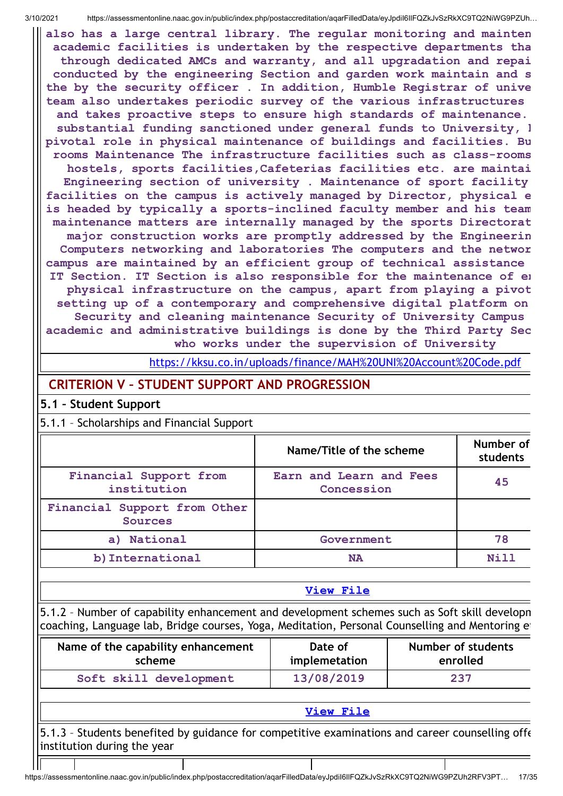**also has a large central library. The regular monitoring and mainten academic facilities is undertaken by the respective departments tha through dedicated AMCs and warranty, and all upgradation and repai conducted by the engineering Section and garden work maintain and s the by the security officer . In addition, Humble Registrar of unive team also undertakes periodic survey of the various infrastructures and takes proactive steps to ensure high standards of maintenance. substantial funding sanctioned under general funds to University, h pivotal role in physical maintenance of buildings and facilities. Bu rooms Maintenance The infrastructure facilities such as class-rooms hostels, sports facilities,Cafeterias facilities etc. are maintai Engineering section of university . Maintenance of sport facility facilities on the campus is actively managed by Director, physical e is headed by typically a sports-inclined faculty member and his team maintenance matters are internally managed by the sports Directorat major construction works are promptly addressed by the Engineerin Computers networking and laboratories The computers and the networ campus are maintained by an efficient group of technical assistance IT Section. IT Section is also responsible for the maintenance of en physical infrastructure on the campus, apart from playing a pivot setting up of a contemporary and comprehensive digital platform on Security and cleaning maintenance Security of University Campus academic and administrative buildings is done by the Third Party Sec who works under the supervision of University**

<https://kksu.co.in/uploads/finance/MAH%20UNI%20Account%20Code.pdf>

# **CRITERION V – STUDENT SUPPORT AND PROGRESSION**

#### **5.1 – Student Support**

5.1.1 – Scholarships and Financial Support

|                                         | Name/Title of the scheme              | Number of<br>students |
|-----------------------------------------|---------------------------------------|-----------------------|
| Financial Support from<br>institution   | Earn and Learn and Fees<br>Concession | 45                    |
| Financial Support from Other<br>Sources |                                       |                       |
| a) National                             | Government                            | 78                    |
| b) International                        | <b>NA</b>                             | N <sub>i</sub> 11     |

#### **[View](https://assessmentonline.naac.gov.in/public/Postacc/Scholarships/9020_Scholarships_1611557262.xlsx) File**

5.1.2 – Number of capability enhancement and development schemes such as Soft skill developm coaching, Language lab, Bridge courses, Yoga, Meditation, Personal Counselling and Mentoring et

| Name of the capability enhancement | Date of       | <b>Number of students</b> |
|------------------------------------|---------------|---------------------------|
| scheme                             | implemetation | enrolled                  |
| Soft skill development             | 13/08/2019    | 237                       |

#### **[View](https://assessmentonline.naac.gov.in/public/Postacc/Development_Schemes/9020_Development_Schemes_1613029990.xlsx) File**

5.1.3 – Students benefited by guidance for competitive examinations and career counselling offe institution during the year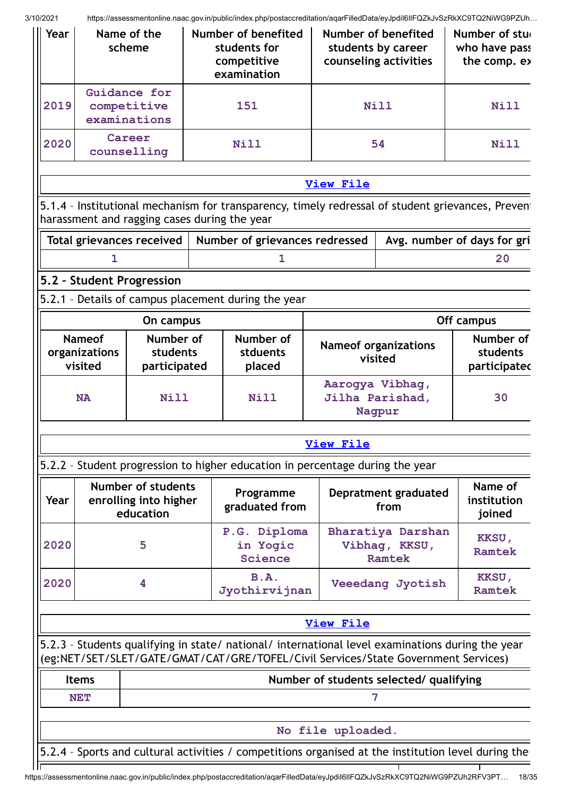| Year                                                    |                                                                                    | Name of the<br>scheme                                           |  | Number of benefited<br>students for<br>competitive<br>examination                                                                                                                      |                   | Number of benefited<br>students by career<br>counseling activities | Number of stu<br>who have pass<br>the comp. ex                                                      |
|---------------------------------------------------------|------------------------------------------------------------------------------------|-----------------------------------------------------------------|--|----------------------------------------------------------------------------------------------------------------------------------------------------------------------------------------|-------------------|--------------------------------------------------------------------|-----------------------------------------------------------------------------------------------------|
| 2019                                                    |                                                                                    | Guidance for<br>competitive<br>examinations                     |  | 151                                                                                                                                                                                    |                   | Nill                                                               | <b>Nill</b>                                                                                         |
| 2020                                                    |                                                                                    | Career<br>counselling                                           |  | <b>Nill</b>                                                                                                                                                                            |                   | 54                                                                 | <b>Nill</b>                                                                                         |
|                                                         |                                                                                    |                                                                 |  |                                                                                                                                                                                        | <b>View File</b>  |                                                                    |                                                                                                     |
|                                                         |                                                                                    | harassment and ragging cases during the year                    |  |                                                                                                                                                                                        |                   |                                                                    | 5.1.4 - Institutional mechanism for transparency, timely redressal of student grievances, Prevent   |
|                                                         |                                                                                    | Total grievances received                                       |  | Number of grievances redressed                                                                                                                                                         |                   |                                                                    | Avg. number of days for gri                                                                         |
|                                                         | $\mathbf{1}$                                                                       |                                                                 |  | 1                                                                                                                                                                                      |                   |                                                                    | 20                                                                                                  |
|                                                         |                                                                                    | 5.2 - Student Progression                                       |  |                                                                                                                                                                                        |                   |                                                                    |                                                                                                     |
|                                                         |                                                                                    |                                                                 |  | 5.2.1 - Details of campus placement during the year                                                                                                                                    |                   |                                                                    |                                                                                                     |
|                                                         |                                                                                    | On campus                                                       |  |                                                                                                                                                                                        |                   |                                                                    | Off campus                                                                                          |
|                                                         | <b>Nameof</b><br>Number of<br>organizations<br>students<br>visited<br>participated |                                                                 |  | Number of<br>stduents<br>placed                                                                                                                                                        |                   | <b>Nameof organizations</b><br>visited                             |                                                                                                     |
|                                                         | <b>NA</b>                                                                          | <b>Nill</b>                                                     |  | <b>Nill</b>                                                                                                                                                                            |                   | Aarogya Vibhag,<br>Jilha Parishad,<br>Nagpur                       |                                                                                                     |
|                                                         |                                                                                    |                                                                 |  |                                                                                                                                                                                        | <b>View File</b>  |                                                                    |                                                                                                     |
|                                                         |                                                                                    |                                                                 |  | 5.2.2 - Student progression to higher education in percentage during the year                                                                                                          |                   |                                                                    |                                                                                                     |
| Year                                                    |                                                                                    | <b>Number of students</b><br>enrolling into higher<br>education |  | Programme<br>graduated from                                                                                                                                                            |                   | Depratment graduated<br>from                                       | Name of<br>institution<br>joined                                                                    |
| 2020                                                    |                                                                                    | 5                                                               |  | P.G. Diploma<br>in Yogic<br>Science                                                                                                                                                    |                   | Bharatiya Darshan<br>Vibhag, KKSU,<br><b>Ramtek</b>                | KKSU,<br><b>Ramtek</b>                                                                              |
| 2020                                                    |                                                                                    | 4                                                               |  | <b>B.A.</b><br>Jyothirvijnan                                                                                                                                                           |                   | Veeedang Jyotish                                                   | KKSU,<br><b>Ramtek</b>                                                                              |
|                                                         |                                                                                    |                                                                 |  |                                                                                                                                                                                        | <b>View File</b>  |                                                                    |                                                                                                     |
|                                                         |                                                                                    |                                                                 |  | 5.2.3 - Students qualifying in state/ national/ international level examinations during the year<br>(eg:NET/SET/SLET/GATE/GMAT/CAT/GRE/TOFEL/Civil Services/State Government Services) |                   |                                                                    |                                                                                                     |
| <b>Items</b><br>Number of students selected/ qualifying |                                                                                    |                                                                 |  |                                                                                                                                                                                        |                   |                                                                    |                                                                                                     |
|                                                         | <b>NET</b>                                                                         |                                                                 |  |                                                                                                                                                                                        |                   | 7                                                                  |                                                                                                     |
|                                                         |                                                                                    |                                                                 |  |                                                                                                                                                                                        |                   |                                                                    |                                                                                                     |
|                                                         |                                                                                    |                                                                 |  |                                                                                                                                                                                        | No file uploaded. |                                                                    |                                                                                                     |
|                                                         |                                                                                    |                                                                 |  |                                                                                                                                                                                        |                   |                                                                    | 5.2.4 - Sports and cultural activities / competitions organised at the institution level during the |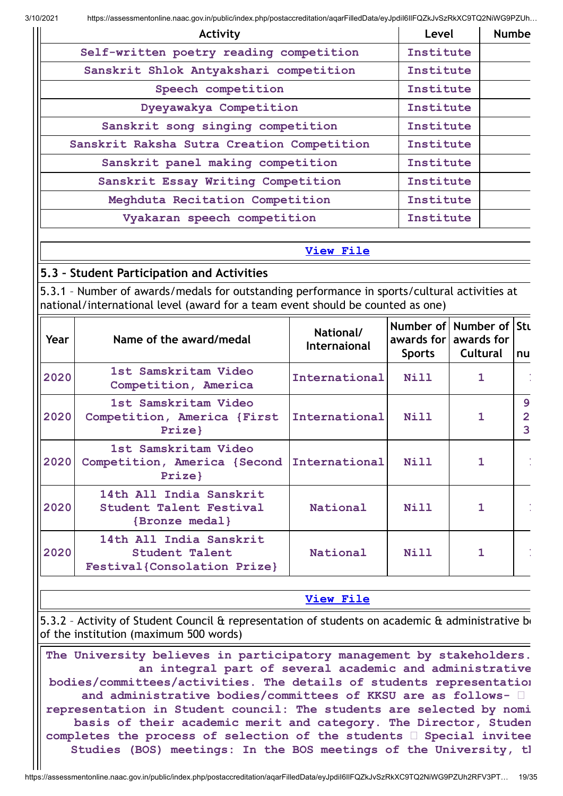| Activity                                   | Level     | <b>Numbe</b> |
|--------------------------------------------|-----------|--------------|
| Self-written poetry reading competition    | Institute |              |
| Sanskrit Shlok Antyakshari competition     | Institute |              |
| Speech competition                         | Institute |              |
| Dyeyawakya Competition                     | Institute |              |
| Sanskrit song singing competition          | Institute |              |
| Sanskrit Raksha Sutra Creation Competition | Institute |              |
| Sanskrit panel making competition          | Institute |              |
| Sanskrit Essay Writing Competition         | Institute |              |
| Meghduta Recitation Competition            | Institute |              |
| Vyakaran speech competition                | Institute |              |

## **[View](https://assessmentonline.naac.gov.in/public/Postacc/Activities_Organised/9020_Activities_Organised_1613028221.xlsx) File**

# **5.3 – Student Participation and Activities**

5.3.1 – Number of awards/medals for outstanding performance in sports/cultural activities at national/international level (award for a team event should be counted as one)

| Year | Name of the award/medal                                                  | National/<br>Internaional | <b>Sports</b> | Number of Number of Stu<br>awards for awards for<br><b>Cultural</b> | <b>Inu</b>                          |
|------|--------------------------------------------------------------------------|---------------------------|---------------|---------------------------------------------------------------------|-------------------------------------|
| 2020 | 1st Samskritam Video<br>Competition, America                             | International             | <b>Nill</b>   | 1                                                                   |                                     |
| 2020 | 1st Samskritam Video<br>Competition, America {First<br>Prize}            | International             | Nill          | 1                                                                   | $\mathbf{9}$<br>$\overline{2}$<br>3 |
| 2020 | 1st Samskritam Video<br>Competition, America {Second<br>Prize}           | International             | Nill          | 1                                                                   |                                     |
| 2020 | 14th All India Sanskrit<br>Student Talent Festival<br>{Bronze medal}     | National                  | <b>Nill</b>   | 1                                                                   |                                     |
| 2020 | 14th All India Sanskrit<br>Student Talent<br>Festival{Consolation Prize} | National                  | <b>Nill</b>   |                                                                     |                                     |

## **[View](https://assessmentonline.naac.gov.in/public/Postacc/awards_in_activities/9020_awards_in_activities_1613027854.xlsx) File**

5.3.2 - Activity of Student Council & representation of students on academic & administrative bo of the institution (maximum 500 words)

**The University believes in participatory management by stakeholders. an integral part of several academic and administrative bodies/committees/activities. The details of students representation and administrative bodies/committees of KKSU are as follows representation in Student council: The students are selected by nomi basis of their academic merit and category. The Director, Studen completes the process of selection of the students Special invitee Studies (BOS) meetings: In the BOS meetings of the University, th**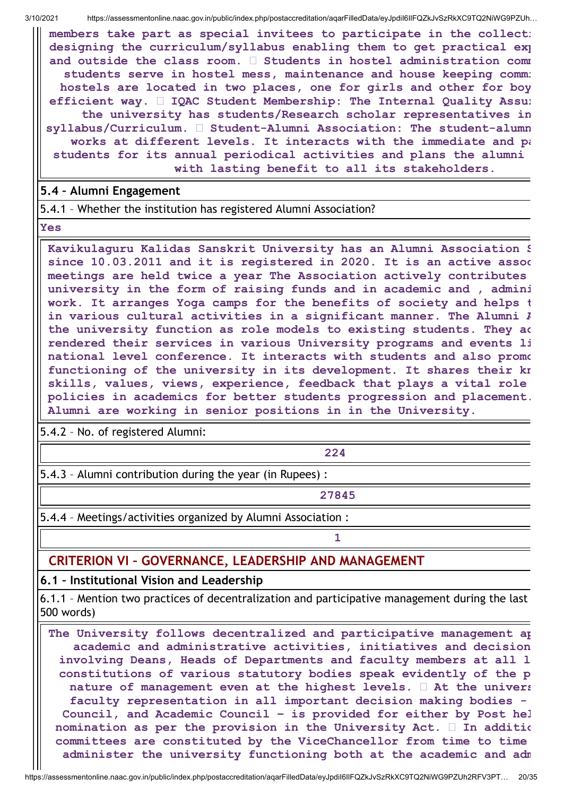**members take part as special invitees to participate in the collecti designing the curriculum/syllabus enabling them to get practical exp and outside the class room. Students in hostel administration comm students serve in hostel mess, maintenance and house keeping commi hostels are located in two places, one for girls and other for boy efficient way. IQAC Student Membership: The Internal Quality Assur the university has students/Research scholar representatives in syllabus/Curriculum. Student-Alumni Association: The student-alumn works at different levels. It interacts with the immediate and pa students for its annual periodical activities and plans the alumni with lasting benefit to all its stakeholders.**

## **5.4 – Alumni Engagement**

5.4.1 – Whether the institution has registered Alumni Association?

**Yes**

**Kavikulaguru Kalidas Sanskrit University has an Alumni Association S since 10.03.2011 and it is registered in 2020. It is an active assoc meetings are held twice a year The Association actively contributes university in the form of raising funds and in academic and , admini work. It arranges Yoga camps for the benefits of society and helps t in various cultural activities in a significant manner. The Alumni A the university function as role models to existing students. They ac rendered their services in various University programs and events li national level conference. It interacts with students and also promo functioning of the university in its development. It shares their kn skills, values, views, experience, feedback that plays a vital role policies in academics for better students progression and placement. Alumni are working in senior positions in in the University.**

5.4.2 – No. of registered Alumni:

**224**

5.4.3 – Alumni contribution during the year (in Rupees) :

**27845**

**1**

5.4.4 – Meetings/activities organized by Alumni Association :

# **CRITERION VI – GOVERNANCE, LEADERSHIP AND MANAGEMENT**

# **6.1 – Institutional Vision and Leadership**

6.1.1 – Mention two practices of decentralization and participative management during the last 500 words)

**The University follows decentralized and participative management ap academic and administrative activities, initiatives and decision involving Deans, Heads of Departments and faculty members at all l constitutions of various statutory bodies speak evidently of the p nature of management even at the highest levels. At the univers faculty representation in all important decision making bodies - Council, and Academic Council – is provided for either by Post hel nomination as per the provision in the University Act. In additio committees are constituted by the ViceChancellor from time to time administer the university functioning both at the academic and adm**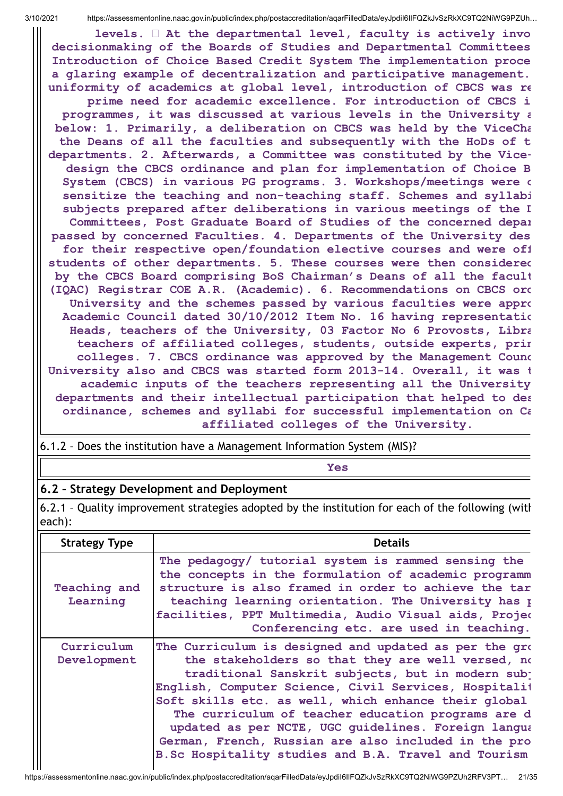**levels. At the departmental level, faculty is actively invo decisionmaking of the Boards of Studies and Departmental Committees Introduction of Choice Based Credit System The implementation proce a glaring example of decentralization and participative management. uniformity of academics at global level, introduction of CBCS was re prime need for academic excellence. For introduction of CBCS i programmes, it was discussed at various levels in the University a below: 1. Primarily, a deliberation on CBCS was held by the ViceCha the Deans of all the faculties and subsequently with the HoDs of t departments. 2. Afterwards, a Committee was constituted by the Vicedesign the CBCS ordinance and plan for implementation of Choice B System (CBCS) in various PG programs. 3. Workshops/meetings were o sensitize the teaching and non-teaching staff. Schemes and syllabi subjects prepared after deliberations in various meetings of the D Committees, Post Graduate Board of Studies of the concerned depar passed by concerned Faculties. 4. Departments of the University des for their respective open/foundation elective courses and were off students of other departments. 5. These courses were then considered by the CBCS Board comprising BoS Chairman's Deans of all the facult (IQAC) Registrar COE A.R. (Academic). 6. Recommendations on CBCS ord University and the schemes passed by various faculties were appro Academic Council dated 30/10/2012 Item No. 16 having representatio Heads, teachers of the University, 03 Factor No 6 Provosts, Libra teachers of affiliated colleges, students, outside experts, prin colleges. 7. CBCS ordinance was approved by the Management Counc University also and CBCS was started form 2013-14. Overall, it was t academic inputs of the teachers representing all the University departments and their intellectual participation that helped to des ordinance, schemes and syllabi for successful implementation on Ca affiliated colleges of the University.**

6.1.2 – Does the institution have a Management Information System (MIS)?

**Yes**

# **6.2 – Strategy Development and Deployment**

6.2.1 – Quality improvement strategies adopted by the institution for each of the following (with each):

| <b>Strategy Type</b>      | <b>Details</b>                                                                                                                                                                                                                                                                                                                                                                                                                                                                                                 |
|---------------------------|----------------------------------------------------------------------------------------------------------------------------------------------------------------------------------------------------------------------------------------------------------------------------------------------------------------------------------------------------------------------------------------------------------------------------------------------------------------------------------------------------------------|
| Teaching and<br>Learning  | The pedagogy/ tutorial system is rammed sensing the<br>the concepts in the formulation of academic programm<br>structure is also framed in order to achieve the tar<br>teaching learning orientation. The University has p<br>facilities, PPT Multimedia, Audio Visual aids, Projeo<br>Conferencing etc. are used in teaching.                                                                                                                                                                                 |
| Curriculum<br>Development | The Curriculum is designed and updated as per the grow<br>the stakeholders so that they are well versed, no<br>traditional Sanskrit subjects, but in modern subj<br>English, Computer Science, Civil Services, Hospitalit<br>Soft skills etc. as well, which enhance their global<br>The curriculum of teacher education programs are d<br>updated as per NCTE, UGC guidelines. Foreign langua<br>German, French, Russian are also included in the pro<br>B.Sc Hospitality studies and B.A. Travel and Tourism |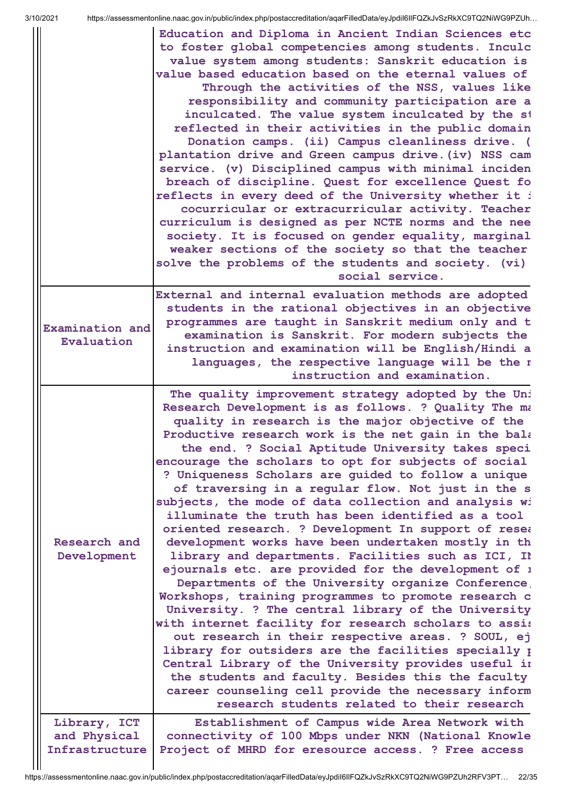|                                                | Education and Diploma in Ancient Indian Sciences etc<br>to foster global competencies among students. Inculc<br>value system among students: Sanskrit education is<br>value based education based on the eternal values of<br>Through the activities of the NSS, values like<br>responsibility and community participation are a<br>inculcated. The value system inculcated by the st<br>reflected in their activities in the public domain<br>Donation camps. (ii) Campus cleanliness drive. (<br>plantation drive and Green campus drive. (iv) NSS cam<br>service. (v) Disciplined campus with minimal inciden<br>breach of discipline. Quest for excellence Quest fo<br>reflects in every deed of the University whether it i<br>cocurricular or extracurricular activity. Teacher<br>curriculum is designed as per NCTE norms and the nee<br>society. It is focused on gender equality, marginal<br>weaker sections of the society so that the teacher<br>solve the problems of the students and society. (vi)                                                                                                                                                                                                                                                                                                                                             |
|------------------------------------------------|----------------------------------------------------------------------------------------------------------------------------------------------------------------------------------------------------------------------------------------------------------------------------------------------------------------------------------------------------------------------------------------------------------------------------------------------------------------------------------------------------------------------------------------------------------------------------------------------------------------------------------------------------------------------------------------------------------------------------------------------------------------------------------------------------------------------------------------------------------------------------------------------------------------------------------------------------------------------------------------------------------------------------------------------------------------------------------------------------------------------------------------------------------------------------------------------------------------------------------------------------------------------------------------------------------------------------------------------------------------|
|                                                | social service.<br>External and internal evaluation methods are adopted                                                                                                                                                                                                                                                                                                                                                                                                                                                                                                                                                                                                                                                                                                                                                                                                                                                                                                                                                                                                                                                                                                                                                                                                                                                                                        |
| Examination and<br>Evaluation                  | students in the rational objectives in an objective<br>programmes are taught in Sanskrit medium only and t<br>examination is Sanskrit. For modern subjects the<br>instruction and examination will be English/Hindi a<br>languages, the respective language will be the r<br>instruction and examination.                                                                                                                                                                                                                                                                                                                                                                                                                                                                                                                                                                                                                                                                                                                                                                                                                                                                                                                                                                                                                                                      |
| Research and<br>Development                    | The quality improvement strategy adopted by the Uni<br>Research Development is as follows. ? Quality The ma<br>quality in research is the major objective of the<br>Productive research work is the net gain in the bala<br>the end. ? Social Aptitude University takes speci<br>encourage the scholars to opt for subjects of social<br>? Uniqueness Scholars are quided to follow a unique<br>of traversing in a regular flow. Not just in the s<br>subjects, the mode of data collection and analysis wi<br>illuminate the truth has been identified as a tool<br>oriented research. ? Development In support of resea<br>development works have been undertaken mostly in th<br>library and departments. Facilities such as ICI, Il<br>ejournals etc. are provided for the development of 1<br>Departments of the University organize Conference<br>Workshops, training programmes to promote research c<br>University. ? The central library of the University<br>with internet facility for research scholars to assis<br>out research in their respective areas. ? SOUL, ej<br>library for outsiders are the facilities specially p<br>Central Library of the University provides useful in<br>the students and faculty. Besides this the faculty<br>career counseling cell provide the necessary inform<br>research students related to their research |
| Library, ICT<br>and Physical<br>Infrastructure | Establishment of Campus wide Area Network with<br>connectivity of 100 Mbps under NKN (National Knowle<br>Project of MHRD for eresource access. ? Free access                                                                                                                                                                                                                                                                                                                                                                                                                                                                                                                                                                                                                                                                                                                                                                                                                                                                                                                                                                                                                                                                                                                                                                                                   |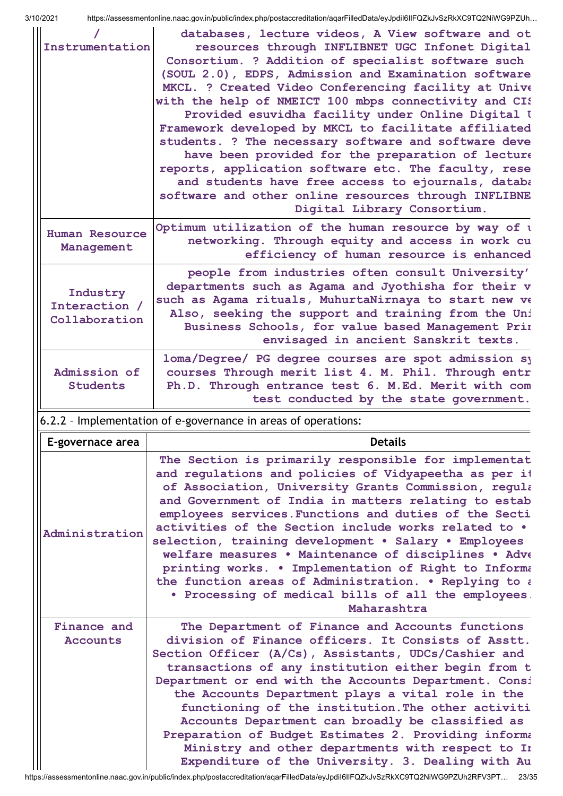| Instrumentation                            | databases, lecture videos, A View software and ot<br>resources through INFLIBNET UGC Infonet Digital<br>Consortium. ? Addition of specialist software such<br>(SOUL 2.0), EDPS, Admission and Examination software<br>MKCL. ? Created Video Conferencing facility at Unive<br>with the help of NMEICT 100 mbps connectivity and CIS<br>Provided esuvidha facility under Online Digital I<br>Framework developed by MKCL to facilitate affiliated<br>students. ? The necessary software and software deve<br>have been provided for the preparation of lecture<br>reports, application software etc. The faculty, rese<br>and students have free access to ejournals, databa<br>software and other online resources through INFLIBNE<br>Digital Library Consortium. |
|--------------------------------------------|--------------------------------------------------------------------------------------------------------------------------------------------------------------------------------------------------------------------------------------------------------------------------------------------------------------------------------------------------------------------------------------------------------------------------------------------------------------------------------------------------------------------------------------------------------------------------------------------------------------------------------------------------------------------------------------------------------------------------------------------------------------------|
| <b>Human Resource</b><br>Management        | Optimum utilization of the human resource by way of a<br>networking. Through equity and access in work cu<br>efficiency of human resource is enhanced                                                                                                                                                                                                                                                                                                                                                                                                                                                                                                                                                                                                              |
| Industry<br>Interaction /<br>Collaboration | people from industries often consult University'<br>departments such as Agama and Jyothisha for their v<br>such as Agama rituals, MuhurtaNirnaya to start new ve<br>Also, seeking the support and training from the Uni<br>Business Schools, for value based Management Prin<br>envisaged in ancient Sanskrit texts.                                                                                                                                                                                                                                                                                                                                                                                                                                               |
| Admission of<br><b>Students</b>            | loma/Degree/ PG degree courses are spot admission sy<br>courses Through merit list 4. M. Phil. Through entr<br>Ph.D. Through entrance test 6. M.Ed. Merit with com<br>test conducted by the state government.                                                                                                                                                                                                                                                                                                                                                                                                                                                                                                                                                      |
|                                            |                                                                                                                                                                                                                                                                                                                                                                                                                                                                                                                                                                                                                                                                                                                                                                    |
|                                            | 6.2.2 - Implementation of e-governance in areas of operations:                                                                                                                                                                                                                                                                                                                                                                                                                                                                                                                                                                                                                                                                                                     |
| E-governace area                           | <b>Details</b>                                                                                                                                                                                                                                                                                                                                                                                                                                                                                                                                                                                                                                                                                                                                                     |
| Administration<br>Finance and              | The Section is primarily responsible for implementat<br>and regulations and policies of Vidyapeetha as per it<br>of Association, University Grants Commission, regula<br>and Government of India in matters relating to estab<br>employees services. Functions and duties of the Secti<br>activities of the Section include works related to .<br>selection, training development . Salary . Employees<br>welfare measures . Maintenance of disciplines . Adve<br>printing works. . Implementation of Right to Informa<br>the function areas of Administration. . Replying to a<br>. Processing of medical bills of all the employees.<br>Maharashtra<br>The Department of Finance and Accounts functions                                                          |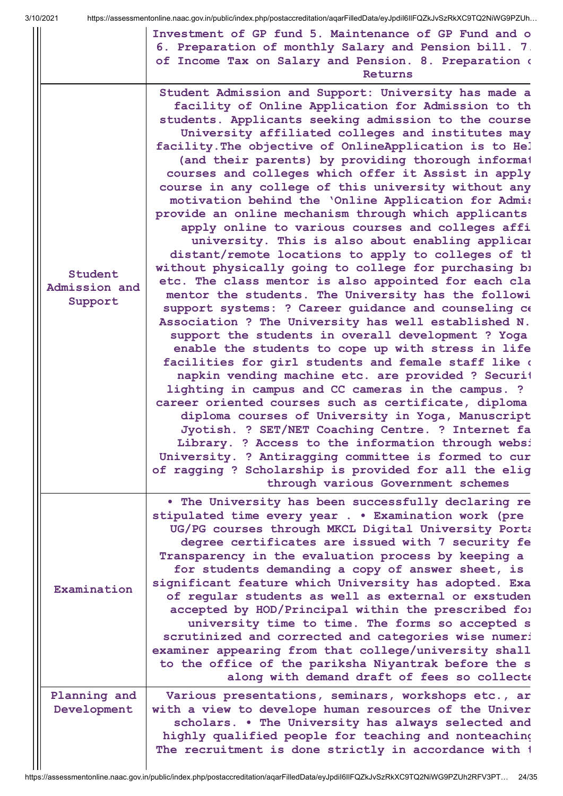|                                     | $\frac{1}{2}$ integrated control into the case of $\frac{1}{2}$ integrated in the control of the control of the control of $\frac{1}{2}$ into $\frac{1}{2}$ into $\frac{1}{2}$ into $\frac{1}{2}$ into $\frac{1}{2}$ into $\frac{1}{2}$ into $\frac{1}{2}$ into<br>Investment of GP fund 5. Maintenance of GP Fund and o                                                                                                                                                                                                                                                                                                                                                                                                                                                                                                                                                                                                                                                                                                                                                                                                                                                                                                                                                                                                                                                                                                                                                                                                                                                                                                                                                                      |
|-------------------------------------|-----------------------------------------------------------------------------------------------------------------------------------------------------------------------------------------------------------------------------------------------------------------------------------------------------------------------------------------------------------------------------------------------------------------------------------------------------------------------------------------------------------------------------------------------------------------------------------------------------------------------------------------------------------------------------------------------------------------------------------------------------------------------------------------------------------------------------------------------------------------------------------------------------------------------------------------------------------------------------------------------------------------------------------------------------------------------------------------------------------------------------------------------------------------------------------------------------------------------------------------------------------------------------------------------------------------------------------------------------------------------------------------------------------------------------------------------------------------------------------------------------------------------------------------------------------------------------------------------------------------------------------------------------------------------------------------------|
|                                     | 6. Preparation of monthly Salary and Pension bill. 7<br>of Income Tax on Salary and Pension. 8. Preparation of<br>Returns                                                                                                                                                                                                                                                                                                                                                                                                                                                                                                                                                                                                                                                                                                                                                                                                                                                                                                                                                                                                                                                                                                                                                                                                                                                                                                                                                                                                                                                                                                                                                                     |
| Student<br>Admission and<br>Support | Student Admission and Support: University has made a<br>facility of Online Application for Admission to th<br>students. Applicants seeking admission to the course<br>University affiliated colleges and institutes may<br>facility. The objective of OnlineApplication is to Hel<br>(and their parents) by providing thorough informat<br>courses and colleges which offer it Assist in apply<br>course in any college of this university without any<br>motivation behind the 'Online Application for Admis<br>provide an online mechanism through which applicants<br>apply online to various courses and colleges affi<br>university. This is also about enabling applicar<br>distant/remote locations to apply to colleges of th<br>without physically going to college for purchasing bi<br>etc. The class mentor is also appointed for each cla<br>mentor the students. The University has the followi<br>support systems: ? Career guidance and counseling ce<br>Association ? The University has well established N.<br>support the students in overall development ? Yoga<br>enable the students to cope up with stress in life<br>facilities for girl students and female staff like of<br>napkin vending machine etc. are provided ? Securit<br>lighting in campus and CC cameras in the campus. ?<br>career oriented courses such as certificate, diploma<br>diploma courses of University in Yoga, Manuscript<br>Jyotish. ? SET/NET Coaching Centre. ? Internet fa<br>Library. ? Access to the information through websi<br>University. ? Antiragging committee is formed to cur<br>of ragging ? Scholarship is provided for all the elig<br>through various Government schemes |
| Examination                         | . The University has been successfully declaring re<br>stipulated time every year Examination work (pre<br>UG/PG courses through MKCL Digital University Porta<br>degree certificates are issued with 7 security fe<br>Transparency in the evaluation process by keeping a<br>for students demanding a copy of answer sheet, is<br>significant feature which University has adopted. Exa<br>of regular students as well as external or exstuden<br>accepted by HOD/Principal within the prescribed for<br>university time to time. The forms so accepted s<br>scrutinized and corrected and categories wise numeri<br>examiner appearing from that college/university shall<br>to the office of the pariksha Niyantrak before the s<br>along with demand draft of fees so collect                                                                                                                                                                                                                                                                                                                                                                                                                                                                                                                                                                                                                                                                                                                                                                                                                                                                                                             |
| Planning and<br>Development         | Various presentations, seminars, workshops etc., ar<br>with a view to develope human resources of the Univer<br>scholars. . The University has always selected and<br>highly qualified people for teaching and nonteaching<br>The recruitment is done strictly in accordance with 1                                                                                                                                                                                                                                                                                                                                                                                                                                                                                                                                                                                                                                                                                                                                                                                                                                                                                                                                                                                                                                                                                                                                                                                                                                                                                                                                                                                                           |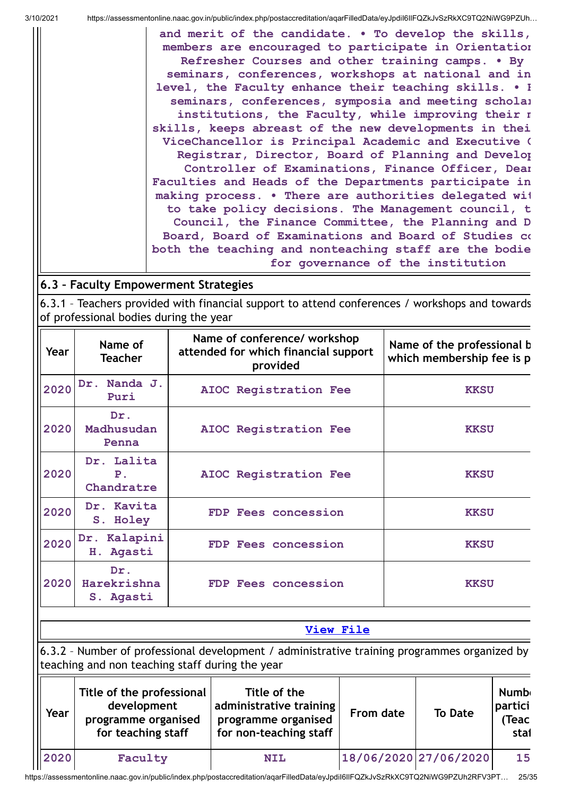**and merit of the candidate. • To develop the skills, members are encouraged to participate in Orientation Refresher Courses and other training camps. • By seminars, conferences, workshops at national and in level, the Faculty enhance their teaching skills. • B seminars, conferences, symposia and meeting scholar institutions, the Faculty, while improving their m skills, keeps abreast of the new developments in thei ViceChancellor is Principal Academic and Executive O Registrar, Director, Board of Planning and Develop Controller of Examinations, Finance Officer, Dean Faculties and Heads of the Departments participate in making process. • There are authorities delegated wit to take policy decisions. The Management council, t Council, the Finance Committee, the Planning and D Board, Board of Examinations and Board of Studies co both the teaching and nonteaching staff are the bodie for governance of the institution**

# **6.3 – Faculty Empowerment Strategies**

6.3.1 – Teachers provided with financial support to attend conferences / workshops and towards of professional bodies during the year

| Year | Name of<br><b>Teacher</b>                  | Name of conference/ workshop<br>attended for which financial support<br>provided | Name of the professional b<br>which membership fee is p |  |  |
|------|--------------------------------------------|----------------------------------------------------------------------------------|---------------------------------------------------------|--|--|
| 2020 | Nanda J.<br>Dr.<br>Puri                    | AIOC Registration Fee                                                            | <b>KKSU</b>                                             |  |  |
| 2020 | Dr.<br>Madhusudan<br>Penna                 | AIOC Registration Fee                                                            | <b>KKSU</b>                                             |  |  |
| 2020 | Dr. Lalita<br>P <sub>1</sub><br>Chandratre | AIOC Registration Fee                                                            | <b>KKSU</b>                                             |  |  |
| 2020 | Dr. Kavita<br>S. Holey                     | FDP Fees concession                                                              | <b>KKSU</b>                                             |  |  |
| 2020 | Dr. Kalapini<br>Agasti<br>Η.               | FDP Fees concession                                                              | <b>KKSU</b>                                             |  |  |
| 2020 | Dr.<br>Harekrishna<br>S. Agasti            | FDP Fees concession                                                              | <b>KKSU</b>                                             |  |  |
|      | View File                                  |                                                                                  |                                                         |  |  |

6.3.2 – Number of professional development / administrative training programmes organized by teaching and non teaching staff during the year

| Year | Title of the professional<br>development<br>programme organised<br>for teaching staff | Title of the<br>administrative training<br>programme organised<br>for non-teaching staff | From date             | <b>To Date</b> | <b>Numb</b><br>partici<br><b>Teac</b><br>stai |
|------|---------------------------------------------------------------------------------------|------------------------------------------------------------------------------------------|-----------------------|----------------|-----------------------------------------------|
| 2020 | Faculty                                                                               | <b>NIL</b>                                                                               | 18/06/2020 27/06/2020 |                | 15                                            |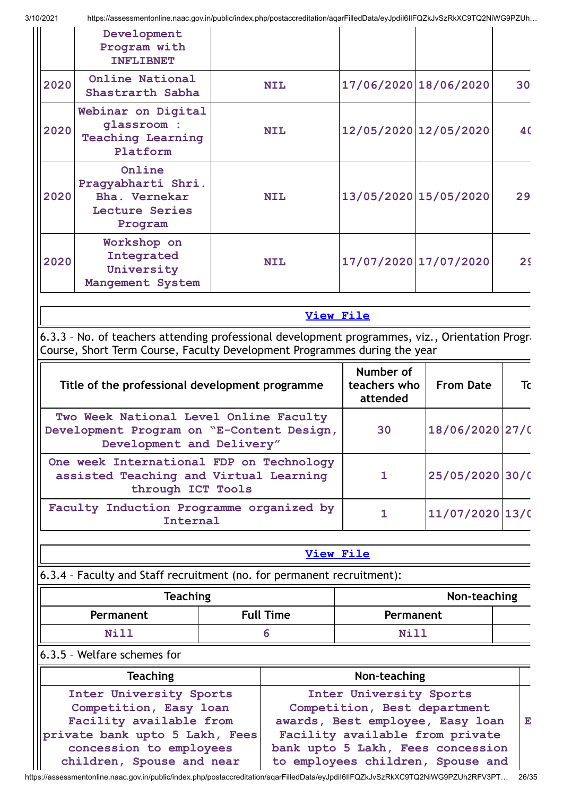|      | Development<br>Program with<br><b>INFLIBNET</b>                            |            |                       |                |
|------|----------------------------------------------------------------------------|------------|-----------------------|----------------|
| 2020 | Online National<br>Shastrarth Sabha                                        | <b>NIL</b> | 17/06/2020 18/06/2020 | 30             |
| 2020 | Webinar on Digital<br>qlassroom :<br><b>Teaching Learning</b><br>Platform  | <b>NIL</b> | 12/05/2020 12/05/2020 | 40             |
| 2020 | Online<br>Pragyabharti Shri.<br>Bha. Vernekar<br>Lecture Series<br>Program | <b>NIL</b> | 13/05/2020 15/05/2020 | 29             |
| 2020 | Workshop on<br>Integrated<br>University<br>Mangement System                | <b>NIL</b> | 17/07/2020 17/07/2020 | 2 <sup>c</sup> |

**[View](https://assessmentonline.naac.gov.in/public/Postacc/Development_training_programmes/9020_Development_training_programmes_1611553933.xlsx) File**

6.3.3 – No. of teachers attending professional development programmes, viz., Orientation Progra Course, Short Term Course, Faculty Development Programmes during the year

| Title of the professional development programme                                                                  | Number of<br>teachers who<br>attended | <b>From Date</b>  | Tc |
|------------------------------------------------------------------------------------------------------------------|---------------------------------------|-------------------|----|
| Two Week National Level Online Faculty<br>Development Program on "E-Content Design,<br>Development and Delivery" | 30                                    | 18/06/2020 27/0   |    |
| One week International FDP on Technology<br>assisted Teaching and Virtual Learning<br>through ICT Tools          |                                       | 25/05/2020 30/0   |    |
| Faculty Induction Programme organized by<br>Internal                                                             |                                       | $11/07/2020$ 13/0 |    |

## **[View](https://assessmentonline.naac.gov.in/public/Postacc/Training_Programmes/9020_Training_Programmes_1611554599.xlsx) File**

6.3.4 – Faculty and Staff recruitment (no. for permanent recruitment):

| <b>Teaching</b> | Non-teaching |             |  |
|-----------------|--------------|-------------|--|
| Permanent       | Permanent    |             |  |
| Ni 11           |              | <b>Nill</b> |  |

## 6.3.5 – Welfare schemes for

| <b>Teaching</b>                | Non-teaching                      |   |
|--------------------------------|-----------------------------------|---|
| Inter University Sports        | Inter University Sports           |   |
| Competition, Easy loan         | Competition, Best department      |   |
| Facility available from        | awards, Best employee, Easy loan  | E |
| private bank upto 5 Lakh, Fees | Facility available from private   |   |
| concession to employees        | bank upto 5 Lakh, Fees concession |   |
| children, Spouse and near      | to employees children, Spouse and |   |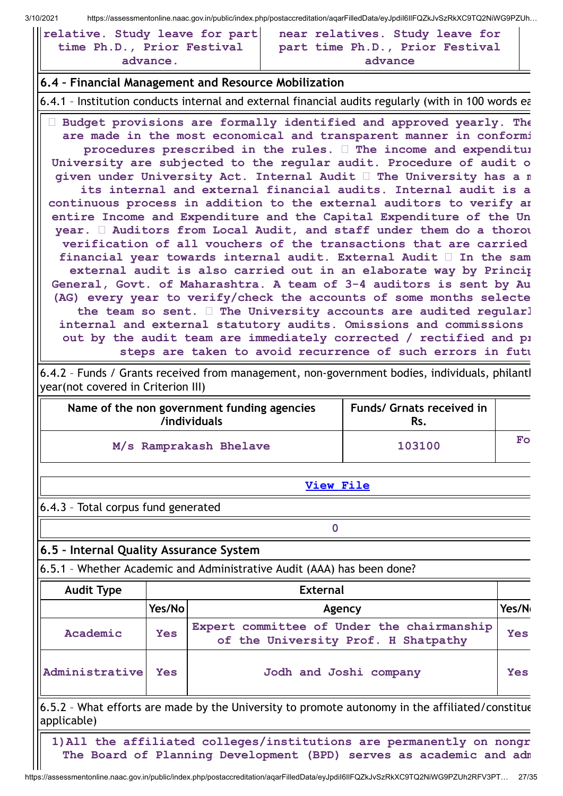| relative. Study leave for part |  |          |  |  |
|--------------------------------|--|----------|--|--|
| time Ph.D., Prior Festival     |  |          |  |  |
|                                |  | advance. |  |  |

|         |  | near relatives. Study leave for |  |  |  |  |
|---------|--|---------------------------------|--|--|--|--|
|         |  | part time Ph.D., Prior Festival |  |  |  |  |
| advance |  |                                 |  |  |  |  |

## **6.4 – Financial Management and Resource Mobilization**

6.4.1 – Institution conducts internal and external financial audits regularly (with in 100 words ea

 **Budget provisions are formally identified and approved yearly. The are made in the most economical and transparent manner in conformi procedures prescribed in the rules. The income and expenditur University are subjected to the regular audit. Procedure of audit o given under University Act. Internal Audit The University has a m its internal and external financial audits. Internal audit is a continuous process in addition to the external auditors to verify an entire Income and Expenditure and the Capital Expenditure of the Un year. Auditors from Local Audit, and staff under them do a thorou verification of all vouchers of the transactions that are carried financial year towards internal audit. External Audit In the sam external audit is also carried out in an elaborate way by Princip General, Govt. of Maharashtra. A team of 3-4 auditors is sent by Au (AG) every year to verify/check the accounts of some months selecte the team so sent. The University accounts are audited regularl internal and external statutory audits. Omissions and commissions out by the audit team are immediately corrected / rectified and pr steps are taken to avoid recurrence of such errors in futu**

6.4.2 – Funds / Grants received from management, non-government bodies, individuals, philanth year(not covered in Criterion III)

| Name of the non government funding agencies<br>/individuals | <b>Funds/ Grnats received in</b><br>Rs. |              |
|-------------------------------------------------------------|-----------------------------------------|--------------|
| M/s Ramprakash Bhelave                                      | 103100                                  | $F_{\Omega}$ |

**[View](https://assessmentonline.naac.gov.in/public/Postacc/Funds_or_Grants/9020_Funds_or_Grants_1611555203.xlsx) File**

**0**

6.4.3 – Total corpus fund generated

# **6.5 – Internal Quality Assurance System**

6.5.1 – Whether Academic and Administrative Audit (AAA) has been done?

| <b>Audit Type</b> |            | <b>External</b>                                                                   |       |  |  |  |  |
|-------------------|------------|-----------------------------------------------------------------------------------|-------|--|--|--|--|
|                   | Yes/No     | Agency                                                                            | Yes/N |  |  |  |  |
| Academic          | <b>Yes</b> | Expert committee of Under the chairmanship<br>of the University Prof. H Shatpathy | Yes   |  |  |  |  |
| Administrative    | Yes        | Jodh and Joshi company                                                            | Yes   |  |  |  |  |

6.5.2 – What efforts are made by the University to promote autonomy in the affiliated/constitue applicable)

**1)All the affiliated colleges/institutions are permanently on nongr The Board of Planning Development (BPD) serves as academic and adm**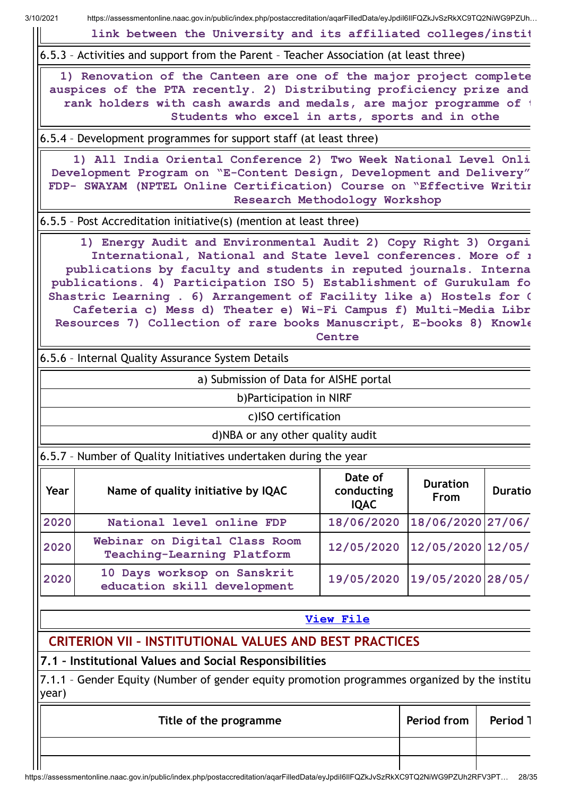**link between the University and its affiliated colleges/instit**

6.5.3 – Activities and support from the Parent – Teacher Association (at least three)

**1) Renovation of the Canteen are one of the major project complete auspices of the PTA recently. 2) Distributing proficiency prize and rank holders with cash awards and medals, are major programme of t Students who excel in arts, sports and in othe**

6.5.4 – Development programmes for support staff (at least three)

**1) All India Oriental Conference 2) Two Week National Level Onli Development Program on "E-Content Design, Development and Delivery" FDP- SWAYAM (NPTEL Online Certification) Course on "Effective Writin Research Methodology Workshop**

6.5.5 – Post Accreditation initiative(s) (mention at least three)

**1) Energy Audit and Environmental Audit 2) Copy Right 3) Organi International, National and State level conferences. More of r publications by faculty and students in reputed journals. Interna publications. 4) Participation ISO 5) Establishment of Gurukulam fo Shastric Learning . 6) Arrangement of Facility like a) Hostels for G Cafeteria c) Mess d) Theater e) Wi-Fi Campus f) Multi-Media Libr Resources 7) Collection of rare books Manuscript, E-books 8) Knowle Centre**

6.5.6 – Internal Quality Assurance System Details

a) Submission of Data for AISHE portal

b)Participation in NIRF

c)ISO certification

d)NBA or any other quality audit

6.5.7 – Number of Quality Initiatives undertaken during the year

| Year | Name of quality initiative by IQAC                          | Date of<br>conducting<br><b>IQAC</b> | <b>Duration</b><br><b>From</b> | <b>Duratio</b> |
|------|-------------------------------------------------------------|--------------------------------------|--------------------------------|----------------|
| 2020 | National level online FDP                                   | 18/06/2020                           | 18/06/2020 27/06/              |                |
| 2020 | Webinar on Digital Class Room<br>Teaching-Learning Platform | 12/05/2020 12/05/2020 12/05/         |                                |                |
| 2020 | 10 Days worksop on Sanskrit<br>education skill development  | 19/05/2020 19/05/2020 28/05/         |                                |                |

## **[View](https://assessmentonline.naac.gov.in/public/Postacc/Quality_Initiatives_B/9020_Quality_Initiatives_B_1611556679.xlsx) File**

# **CRITERION VII – INSTITUTIONAL VALUES AND BEST PRACTICES**

**7.1 – Institutional Values and Social Responsibilities**

7.1.1 – Gender Equity (Number of gender equity promotion programmes organized by the institu year)

| Title of the programme | <b>Period from   Period 1</b> |  |
|------------------------|-------------------------------|--|
|                        |                               |  |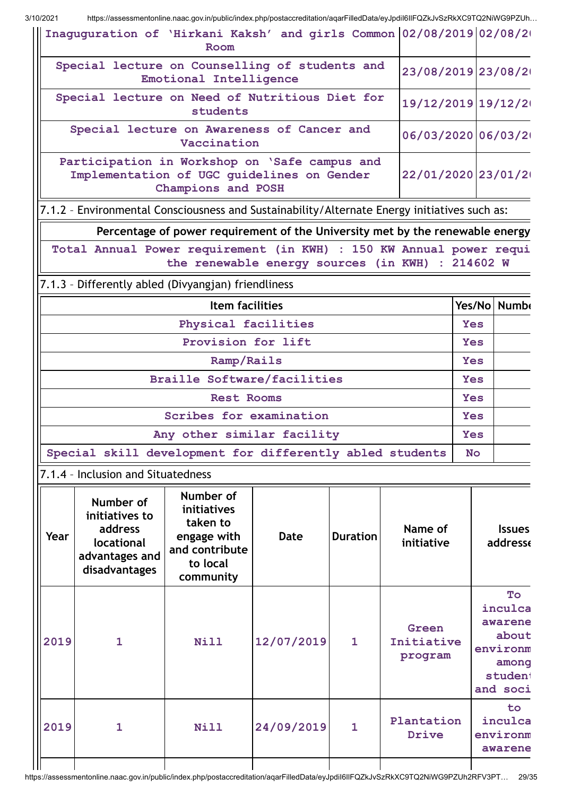|                                                                                                                                         | Inaguguration of 'Hirkani Kaksh' and girls Common 02/08/2019 02/08/20<br>Room                |                                                                                                |             |                 |                                |            |                                                                               |  |  |
|-----------------------------------------------------------------------------------------------------------------------------------------|----------------------------------------------------------------------------------------------|------------------------------------------------------------------------------------------------|-------------|-----------------|--------------------------------|------------|-------------------------------------------------------------------------------|--|--|
|                                                                                                                                         | Special lecture on Counselling of students and                                               | Emotional Intelligence                                                                         |             |                 |                                |            | 23/08/2019 23/08/2                                                            |  |  |
| Special lecture on Need of Nutritious Diet for<br>19/12/2019 19/12/2<br>students                                                        |                                                                                              |                                                                                                |             |                 |                                |            |                                                                               |  |  |
| Special lecture on Awareness of Cancer and<br>06/03/2020 06/03/2<br>Vaccination                                                         |                                                                                              |                                                                                                |             |                 |                                |            |                                                                               |  |  |
| Participation in Workshop on 'Safe campus and<br>22/01/2020 23/01/2<br>Implementation of UGC guidelines on Gender<br>Champions and POSH |                                                                                              |                                                                                                |             |                 |                                |            |                                                                               |  |  |
|                                                                                                                                         | 7.1.2 - Environmental Consciousness and Sustainability/Alternate Energy initiatives such as: |                                                                                                |             |                 |                                |            |                                                                               |  |  |
|                                                                                                                                         |                                                                                              | Percentage of power requirement of the University met by the renewable energy                  |             |                 |                                |            |                                                                               |  |  |
|                                                                                                                                         | Total Annual Power requirement (in KWH) : 150 KW Annual power requi                          | the renewable energy sources (in KWH) : 214602 W                                               |             |                 |                                |            |                                                                               |  |  |
|                                                                                                                                         | 7.1.3 - Differently abled (Divyangjan) friendliness                                          |                                                                                                |             |                 |                                |            |                                                                               |  |  |
|                                                                                                                                         |                                                                                              | <b>Item facilities</b>                                                                         |             |                 |                                |            | Yes/No Numb                                                                   |  |  |
|                                                                                                                                         | Physical facilities<br><b>Yes</b>                                                            |                                                                                                |             |                 |                                |            |                                                                               |  |  |
| Provision for lift                                                                                                                      |                                                                                              |                                                                                                |             |                 |                                |            | <b>Yes</b>                                                                    |  |  |
| Ramp/Rails                                                                                                                              |                                                                                              |                                                                                                |             |                 |                                |            | <b>Yes</b>                                                                    |  |  |
|                                                                                                                                         |                                                                                              | <b>Braille Software/facilities</b>                                                             |             |                 |                                | <b>Yes</b> |                                                                               |  |  |
|                                                                                                                                         |                                                                                              | <b>Rest Rooms</b>                                                                              |             |                 |                                | <b>Yes</b> |                                                                               |  |  |
|                                                                                                                                         |                                                                                              | Scribes for examination                                                                        |             |                 |                                | <b>Yes</b> |                                                                               |  |  |
|                                                                                                                                         |                                                                                              | Any other similar facility                                                                     |             |                 |                                | <b>Yes</b> |                                                                               |  |  |
|                                                                                                                                         | Special skill development for differently abled students                                     |                                                                                                |             |                 |                                | <b>No</b>  |                                                                               |  |  |
|                                                                                                                                         | 7.1.4 - Inclusion and Situatedness                                                           |                                                                                                |             |                 |                                |            |                                                                               |  |  |
| Year                                                                                                                                    | Number of<br>initiatives to<br>address<br>locational<br>advantages and<br>disadvantages      | Number of<br>initiatives<br>taken to<br>engage with<br>and contribute<br>to local<br>community | <b>Date</b> | <b>Duration</b> | Name of<br>initiative          |            | <b>Issues</b><br>addresse                                                     |  |  |
| 2019                                                                                                                                    | $\mathbf{1}$                                                                                 | <b>Nill</b>                                                                                    | 12/07/2019  | $\mathbf{1}$    | Green<br>Initiative<br>program |            | To<br>inculca<br>awarene<br>about<br>environm<br>among<br>student<br>and soci |  |  |
| 2019                                                                                                                                    | $\mathbf{1}$                                                                                 | <b>Nill</b>                                                                                    | 24/09/2019  | 1               | Plantation<br>Drive            |            | to.<br>inculca<br>environm<br>awarene                                         |  |  |
|                                                                                                                                         |                                                                                              |                                                                                                |             |                 |                                |            |                                                                               |  |  |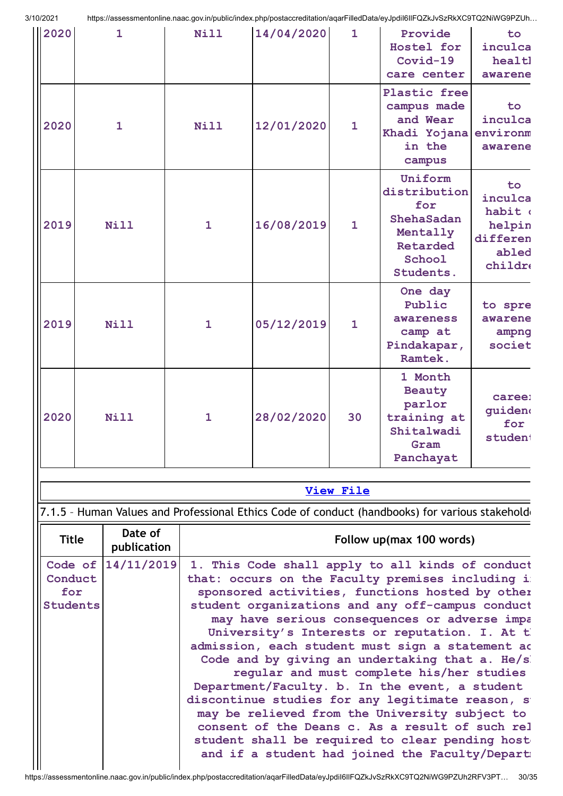| 3/10/2021                                               |  |              |              |            |                  | https://assessmentonline.naac.gov.in/public/index.php/postaccreditation/aqarFilledData/eyJpdil6llFQZkJvSzRkXC9TQ2NiWG9PZUh                                                                                                                                                                                                                                                                                                                                                                                                                                                                                                 |                                                                    |
|---------------------------------------------------------|--|--------------|--------------|------------|------------------|----------------------------------------------------------------------------------------------------------------------------------------------------------------------------------------------------------------------------------------------------------------------------------------------------------------------------------------------------------------------------------------------------------------------------------------------------------------------------------------------------------------------------------------------------------------------------------------------------------------------------|--------------------------------------------------------------------|
| 2020                                                    |  | $\mathbf{1}$ | Nill         | 14/04/2020 | $\mathbf{1}$     | Provide<br>Hostel for<br>Covid-19<br>care center                                                                                                                                                                                                                                                                                                                                                                                                                                                                                                                                                                           | to.<br>inculca<br>healtl<br>awarene                                |
| 2020                                                    |  | $\mathbf{1}$ | <b>Nill</b>  | 12/01/2020 | $\mathbf{1}$     | Plastic free<br>campus made<br>and Wear<br>Khadi Yojana<br>in the<br>campus                                                                                                                                                                                                                                                                                                                                                                                                                                                                                                                                                | to<br>inculca<br>environm<br>awarene                               |
| 2019                                                    |  | <b>Nill</b>  | $\mathbf{1}$ | 16/08/2019 | $\mathbf{1}$     | Uniform<br>distribution<br>for<br>ShehaSadan<br>Mentally<br>Retarded<br>School<br>Students.                                                                                                                                                                                                                                                                                                                                                                                                                                                                                                                                | to<br>inculca<br>habit (<br>helpin<br>differen<br>abled<br>childro |
| 2019                                                    |  | <b>Nill</b>  | $\mathbf{1}$ | 05/12/2019 | $\mathbf{1}$     | One day<br>Public<br>awareness<br>camp at<br>Pindakapar,<br>Ramtek.                                                                                                                                                                                                                                                                                                                                                                                                                                                                                                                                                        | to spre<br>awarene<br>ampng<br>societ                              |
| 2020                                                    |  | <b>Nill</b>  | 1            | 28/02/2020 | 30               | 1 Month<br>Beauty<br>parlor<br>training at<br>Shitalwadi<br>Gram<br>Panchayat                                                                                                                                                                                                                                                                                                                                                                                                                                                                                                                                              | caree:<br>guiden<br>for<br>student                                 |
|                                                         |  |              |              |            |                  |                                                                                                                                                                                                                                                                                                                                                                                                                                                                                                                                                                                                                            |                                                                    |
|                                                         |  |              |              |            | <b>View File</b> |                                                                                                                                                                                                                                                                                                                                                                                                                                                                                                                                                                                                                            |                                                                    |
|                                                         |  | Date of      |              |            |                  | 7.1.5 - Human Values and Professional Ethics Code of conduct (handbooks) for various stakehold                                                                                                                                                                                                                                                                                                                                                                                                                                                                                                                             |                                                                    |
| <b>Title</b>                                            |  | publication  |              |            |                  | Follow up(max 100 words)                                                                                                                                                                                                                                                                                                                                                                                                                                                                                                                                                                                                   |                                                                    |
| Code of 14/11/2019<br>Conduct<br>for<br><b>Students</b> |  |              |              |            |                  | 1. This Code shall apply to all kinds of conduct<br>that: occurs on the Faculty premises including i<br>sponsored activities, functions hosted by other<br>student organizations and any off-campus conduct<br>may have serious consequences or adverse impa<br>University's Interests or reputation. I. At the<br>admission, each student must sign a statement ad<br>Code and by giving an undertaking that a. He/s<br>regular and must complete his/her studies<br>Department/Faculty. b. In the event, a student<br>discontinue studies for any legitimate reason, s<br>may be relieved from the University subject to |                                                                    |

**consent of the Deans c. As a result of such rel student shall be required to clear pending hoste** and if a student had joined the Faculty/Departm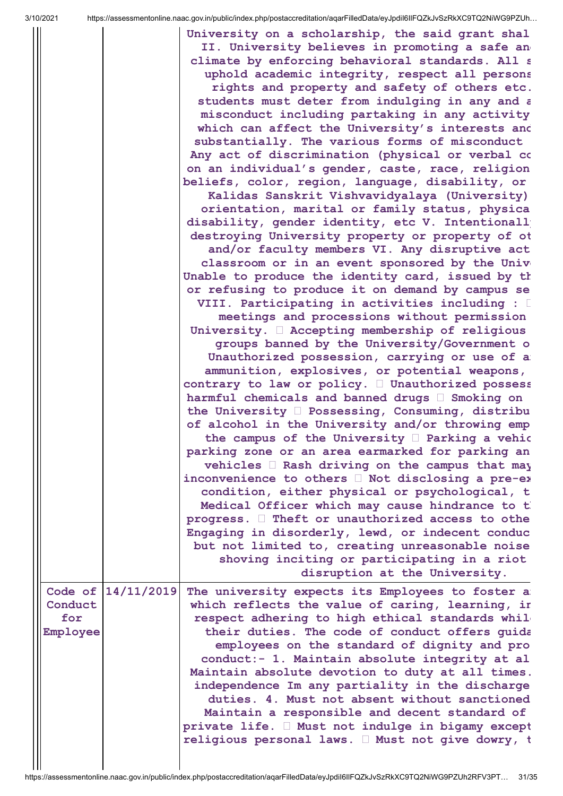| ∠∪∠ ⊧    |                    | Thips.//assessment0hine.naac.gov.im/public/index.php/postaccreditation/aqammedData/ey3puholimQZNJV3ZNNAC9TQZNIVVG9FZ0H…                                |
|----------|--------------------|--------------------------------------------------------------------------------------------------------------------------------------------------------|
|          |                    | University on a scholarship, the said grant shal<br>II. University believes in promoting a safe an<br>climate by enforcing behavioral standards. All a |
|          |                    | uphold academic integrity, respect all persons                                                                                                         |
|          |                    | rights and property and safety of others etc.                                                                                                          |
|          |                    | students must deter from indulging in any and a                                                                                                        |
|          |                    | misconduct including partaking in any activity                                                                                                         |
|          |                    | which can affect the University's interests and                                                                                                        |
|          |                    | substantially. The various forms of misconduct                                                                                                         |
|          |                    | Any act of discrimination (physical or verbal co                                                                                                       |
|          |                    | on an individual's gender, caste, race, religion                                                                                                       |
|          |                    | beliefs, color, region, language, disability, or                                                                                                       |
|          |                    | Kalidas Sanskrit Vishvavidyalaya (University)                                                                                                          |
|          |                    | orientation, marital or family status, physica                                                                                                         |
|          |                    | disability, gender identity, etc V. Intentionall                                                                                                       |
|          |                    | destroying University property or property of ot                                                                                                       |
|          |                    | and/or faculty members VI. Any disruptive act                                                                                                          |
|          |                    | classroom or in an event sponsored by the Univ                                                                                                         |
|          |                    | Unable to produce the identity card, issued by th                                                                                                      |
|          |                    | or refusing to produce it on demand by campus se                                                                                                       |
|          |                    | VIII. Participating in activities including : [                                                                                                        |
|          |                    | meetings and processions without permission                                                                                                            |
|          |                    | University. I Accepting membership of religious                                                                                                        |
|          |                    | groups banned by the University/Government o                                                                                                           |
|          |                    | Unauthorized possession, carrying or use of a                                                                                                          |
|          |                    | ammunition, explosives, or potential weapons,                                                                                                          |
|          |                    | contrary to law or policy. $\Box$ Unauthorized possess                                                                                                 |
|          |                    | harmful chemicals and banned drugs I Smoking on                                                                                                        |
|          |                    | the University D Possessing, Consuming, distribu                                                                                                       |
|          |                    | of alcohol in the University and/or throwing emp                                                                                                       |
|          |                    | the campus of the University I Parking a vehic                                                                                                         |
|          |                    | parking zone or an area earmarked for parking an                                                                                                       |
|          |                    | vehicles I Rash driving on the campus that may                                                                                                         |
|          |                    | inconvenience to others I Not disclosing a pre-ex-                                                                                                     |
|          |                    |                                                                                                                                                        |
|          |                    | condition, either physical or psychological, t                                                                                                         |
|          |                    | Medical Officer which may cause hindrance to t                                                                                                         |
|          |                    | progress. I Theft or unauthorized access to othe                                                                                                       |
|          |                    | Engaging in disorderly, lewd, or indecent conduc                                                                                                       |
|          |                    | but not limited to, creating unreasonable noise                                                                                                        |
|          |                    | shoving inciting or participating in a riot                                                                                                            |
|          |                    | disruption at the University.                                                                                                                          |
|          | Code of 14/11/2019 | The university expects its Employees to foster a                                                                                                       |
| Conduct  |                    | which reflects the value of caring, learning, in                                                                                                       |
| for      |                    | respect adhering to high ethical standards whil-                                                                                                       |
| Employee |                    | their duties. The code of conduct offers guida                                                                                                         |
|          |                    | employees on the standard of dignity and pro                                                                                                           |
|          |                    | conduct:- 1. Maintain absolute integrity at al                                                                                                         |
|          |                    | Maintain absolute devotion to duty at all times.                                                                                                       |
|          |                    | independence Im any partiality in the discharge                                                                                                        |
|          |                    | duties. 4. Must not absent without sanctioned                                                                                                          |
|          |                    | Maintain a responsible and decent standard of                                                                                                          |
|          |                    | private life. I Must not indulge in bigamy except                                                                                                      |
|          |                    | religious personal laws. I Must not give dowry, t                                                                                                      |
|          |                    |                                                                                                                                                        |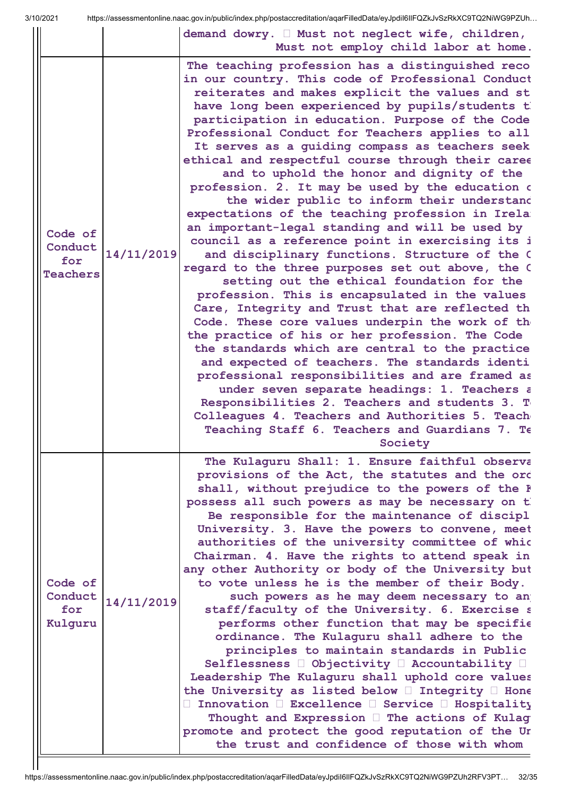| UZUZ I                                       |            | riups.//assessmenionime.naac.gov.im/public/index.php/postaccreditation/aqarFilledData/eyJpunoliFQZKJVSZRKAU9TQZNIWG9PZUN…                                                                                                                                                                                                                                                                                                                                                                                                                                                                                                                                                                                                                                                                                                                                                                                                                                                                                                                                                                                                                                                                                                                                                                                                                                                                                                                                                         |
|----------------------------------------------|------------|-----------------------------------------------------------------------------------------------------------------------------------------------------------------------------------------------------------------------------------------------------------------------------------------------------------------------------------------------------------------------------------------------------------------------------------------------------------------------------------------------------------------------------------------------------------------------------------------------------------------------------------------------------------------------------------------------------------------------------------------------------------------------------------------------------------------------------------------------------------------------------------------------------------------------------------------------------------------------------------------------------------------------------------------------------------------------------------------------------------------------------------------------------------------------------------------------------------------------------------------------------------------------------------------------------------------------------------------------------------------------------------------------------------------------------------------------------------------------------------|
|                                              |            | demand dowry. I Must not neglect wife, children,<br>Must not employ child labor at home.                                                                                                                                                                                                                                                                                                                                                                                                                                                                                                                                                                                                                                                                                                                                                                                                                                                                                                                                                                                                                                                                                                                                                                                                                                                                                                                                                                                          |
| Code of<br>Conduct<br>for<br><b>Teachers</b> | 14/11/2019 | The teaching profession has a distinguished reco<br>in our country. This code of Professional Conduct<br>reiterates and makes explicit the values and st<br>have long been experienced by pupils/students t<br>participation in education. Purpose of the Code<br>Professional Conduct for Teachers applies to all<br>It serves as a guiding compass as teachers seek<br>ethical and respectful course through their caree<br>and to uphold the honor and dignity of the<br>profession. 2. It may be used by the education o<br>the wider public to inform their understand<br>expectations of the teaching profession in Irela<br>an important-legal standing and will be used by<br>council as a reference point in exercising its i<br>and disciplinary functions. Structure of the O<br>regard to the three purposes set out above, the C<br>setting out the ethical foundation for the<br>profession. This is encapsulated in the values<br>Care, Integrity and Trust that are reflected th<br>Code. These core values underpin the work of the<br>the practice of his or her profession. The Code<br>the standards which are central to the practice<br>and expected of teachers. The standards identi<br>professional responsibilities and are framed as<br>under seven separate headings: 1. Teachers a<br>Responsibilities 2. Teachers and students 3. T<br>Colleagues 4. Teachers and Authorities 5. Teach<br>Teaching Staff 6. Teachers and Guardians 7. Te<br>Society |
| Code of<br>Conduct<br>for<br>Kulguru         | 14/11/2019 | The Kulaguru Shall: 1. Ensure faithful observa<br>provisions of the Act, the statutes and the ord<br>shall, without prejudice to the powers of the F<br>possess all such powers as may be necessary on t<br>Be responsible for the maintenance of discipl<br>University. 3. Have the powers to convene, meet<br>authorities of the university committee of whic<br>Chairman. 4. Have the rights to attend speak in<br>any other Authority or body of the University but<br>to vote unless he is the member of their Body.<br>such powers as he may deem necessary to an<br>staff/faculty of the University. 6. Exercise s<br>performs other function that may be specific<br>ordinance. The Kulaguru shall adhere to the<br>principles to maintain standards in Public<br>Selflessness D Objectivity D Accountability D<br>Leadership The Kulaguru shall uphold core values<br>the University as listed below $\Box$ Integrity $\Box$ Hone<br>□ Innovation □ Excellence □ Service □ Hospitality<br>Thought and Expression I The actions of Kulag<br>promote and protect the good reputation of the Ur<br>the trust and confidence of those with whom                                                                                                                                                                                                                                                                                                                              |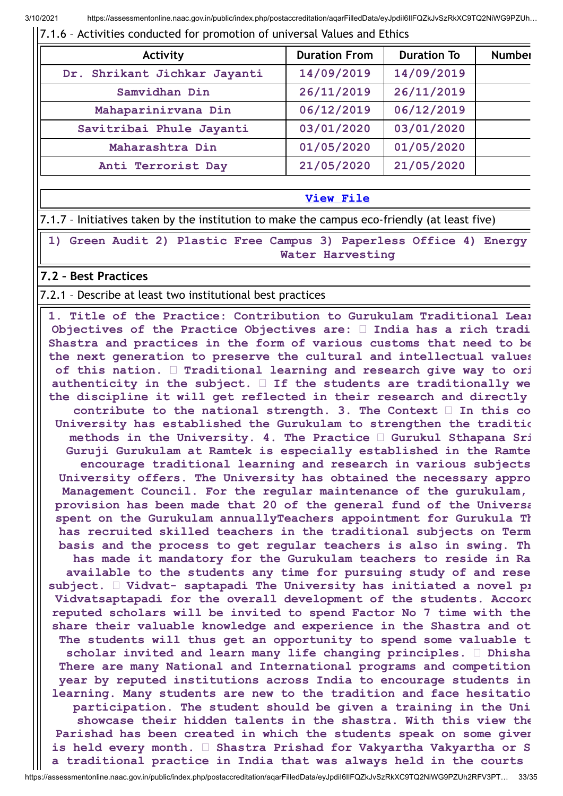#### 7.1.6 – Activities conducted for promotion of universal Values and Ethics

| Activity                     | <b>Duration From</b> | <b>Duration To</b> | <b>Number</b> |
|------------------------------|----------------------|--------------------|---------------|
| Dr. Shrikant Jichkar Jayanti | 14/09/2019           | 14/09/2019         |               |
| Samvidhan Din                | 26/11/2019           | 26/11/2019         |               |
| Mahaparinirvana Din          | 06/12/2019           | 06/12/2019         |               |
| Savitribai Phule Jayanti     | 03/01/2020           | 03/01/2020         |               |
| Maharashtra Din              | 01/05/2020           | 01/05/2020         |               |
| Anti Terrorist Day           | 21/05/2020           | 21/05/2020         |               |

#### **[View](https://assessmentonline.naac.gov.in/public/Postacc/promotion_activities/9020_promotion_activities_1611552719.xlsx) File**

7.1.7 – Initiatives taken by the institution to make the campus eco-friendly (at least five)

**1) Green Audit 2) Plastic Free Campus 3) Paperless Office 4) Energy Water Harvesting**

## **7.2 – Best Practices**

#### 7.2.1 – Describe at least two institutional best practices

**1. Title of the Practice: Contribution to Gurukulam Traditional Lear Objectives of the Practice Objectives are: India has a rich tradi Shastra and practices in the form of various customs that need to be the next generation to preserve the cultural and intellectual values of this nation. Traditional learning and research give way to ori authenticity in the subject. If the students are traditionally we the discipline it will get reflected in their research and directly contribute to the national strength. 3. The Context In this co University has established the Gurukulam to strengthen the traditio methods in the University. 4. The Practice Gurukul Sthapana Sri Guruji Gurukulam at Ramtek is especially established in the Ramte encourage traditional learning and research in various subjects University offers. The University has obtained the necessary appro Management Council. For the regular maintenance of the gurukulam, provision has been made that 20 of the general fund of the Universa spent on the Gurukulam annuallyTeachers appointment for Gurukula Th has recruited skilled teachers in the traditional subjects on Term basis and the process to get regular teachers is also in swing. Th has made it mandatory for the Gurukulam teachers to reside in Ra available to the students any time for pursuing study of and rese subject. Vidvat- saptapadi The University has initiated a novel pr Vidvatsaptapadi for the overall development of the students. Accord reputed scholars will be invited to spend Factor No 7 time with the share their valuable knowledge and experience in the Shastra and ot The students will thus get an opportunity to spend some valuable t scholar invited and learn many life changing principles. Dhisha There are many National and International programs and competition year by reputed institutions across India to encourage students in learning. Many students are new to the tradition and face hesitatio participation. The student should be given a training in the Uni showcase their hidden talents in the shastra. With this view the Parishad has been created in which the students speak on some given is held every month. Shastra Prishad for Vakyartha Vakyartha or S a traditional practice in India that was always held in the courts**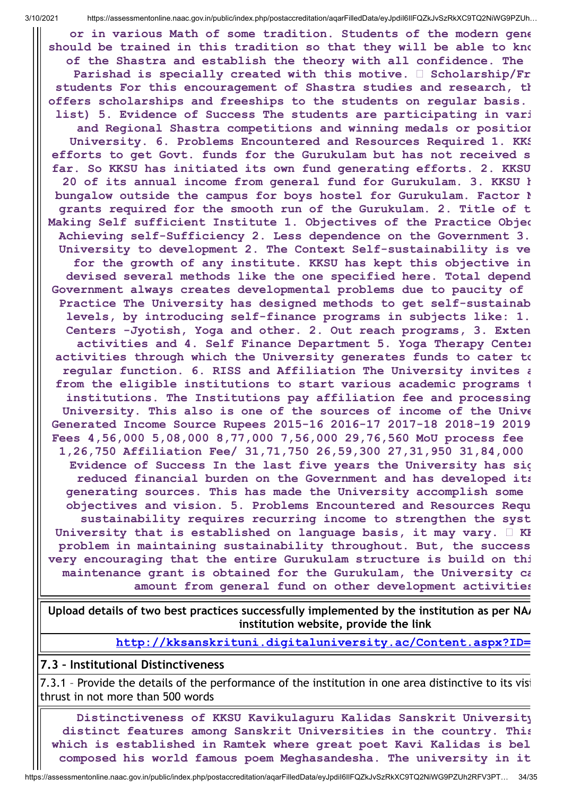**or in various Math of some tradition. Students of the modern gene should be trained in this tradition so that they will be able to kno of the Shastra and establish the theory with all confidence. The Parishad is specially created with this motive. Scholarship/Fr students For this encouragement of Shastra studies and research, th offers scholarships and freeships to the students on regular basis. list) 5. Evidence of Success The students are participating in vari and Regional Shastra competitions and winning medals or position University. 6. Problems Encountered and Resources Required 1. KKS efforts to get Govt. funds for the Gurukulam but has not received s far. So KKSU has initiated its own fund generating efforts. 2. KKSU 20 of its annual income from general fund for Gurukulam. 3. KKSU h bungalow outside the campus for boys hostel for Gurukulam. Factor N grants required for the smooth run of the Gurukulam. 2. Title of t Making Self sufficient Institute 1. Objectives of the Practice Objec Achieving self-Sufficiency 2. Less dependence on the Government 3. University to development 2. The Context Self-sustainability is ve for the growth of any institute. KKSU has kept this objective in devised several methods like the one specified here. Total depend Government always creates developmental problems due to paucity of Practice The University has designed methods to get self-sustainab levels, by introducing self-finance programs in subjects like: 1. Centers -Jyotish, Yoga and other. 2. Out reach programs, 3. Exten activities and 4. Self Finance Department 5. Yoga Therapy Center activities through which the University generates funds to cater to regular function. 6. RISS and Affiliation The University invites a from the eligible institutions to start various academic programs t institutions. The Institutions pay affiliation fee and processing University. This also is one of the sources of income of the Unive Generated Income Source Rupees 2015-16 2016-17 2017-18 2018-19 2019 Fees 4,56,000 5,08,000 8,77,000 7,56,000 29,76,560 MoU process fee 1,26,750 Affiliation Fee/ 31,71,750 26,59,300 27,31,950 31,84,000 Evidence of Success In the last five years the University has sig reduced financial burden on the Government and has developed its generating sources. This has made the University accomplish some objectives and vision. 5. Problems Encountered and Resources Requ sustainability requires recurring income to strengthen the syst University that is established on language basis, it may vary. KK problem in maintaining sustainability throughout. But, the success very encouraging that the entire Gurukulam structure is build on thi maintenance grant is obtained for the Gurukulam, the University ca amount from general fund on other development activities**

Upload details of two best practices successfully implemented by the institution as per NA<sub></sub> **institution website, provide the link**

**[http://kksanskrituni.digitaluniversity.ac/Content.aspx?ID=](http://kksanskrituni.digitaluniversity.ac/Content.aspx?ID=1599)**

## **7.3 – Institutional Distinctiveness**

7.3.1 – Provide the details of the performance of the institution in one area distinctive to its visi thrust in not more than 500 words

**Distinctiveness of KKSU Kavikulaguru Kalidas Sanskrit University distinct features among Sanskrit Universities in the country. This which is established in Ramtek where great poet Kavi Kalidas is bel composed his world famous poem Meghasandesha. The university in it**